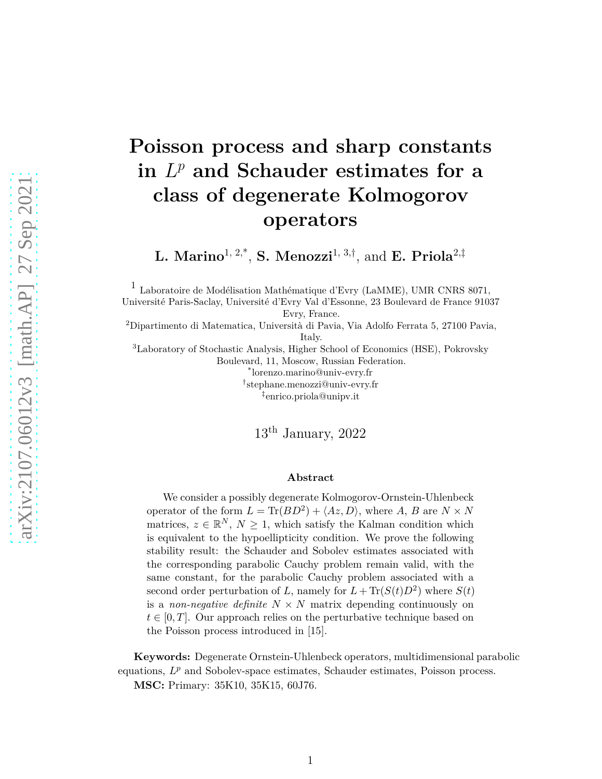# **Poisson process and sharp constants**  $\mathbf{L}^p$  and Schauder estimates for a **class of degenerate Kolmogorov operators**

**L. Marino**1, 2,\* , **S. Menozzi**1, 3,† , and **E. Priola**2,‡

1 Laboratoire de Modélisation Mathématique d'Evry (LaMME), UMR CNRS 8071, Université Paris-Saclay, Université d'Evry Val d'Essonne, 23 Boulevard de France 91037 Evry, France.

<sup>2</sup>Dipartimento di Matematica, Università di Pavia, Via Adolfo Ferrata 5, 27100 Pavia, Italy.

<sup>3</sup>Laboratory of Stochastic Analysis, Higher School of Economics (HSE), Pokrovsky Boulevard, 11, Moscow, Russian Federation. \* lorenzo.marino@univ-evry.fr † stephane.menozzi@univ-evry.fr

‡ enrico.priola@unipv.it

 $13<sup>th</sup>$  January, 2022

#### **Abstract**

We consider a possibly degenerate Kolmogorov-Ornstein-Uhlenbeck operator of the form  $L = \text{Tr}(BD^2) + \langle Az, D \rangle$ , where *A*, *B* are  $N \times N$ matrices,  $z \in \mathbb{R}^N$ ,  $N \geq 1$ , which satisfy the Kalman condition which is equivalent to the hypoellipticity condition. We prove the following stability result: the Schauder and Sobolev estimates associated with the corresponding parabolic Cauchy problem remain valid, with the same constant, for the parabolic Cauchy problem associated with a second order perturbation of *L*, namely for  $L + \text{Tr}(S(t)D^2)$  where  $S(t)$ is a *non-negative definite*  $N \times N$  matrix depending continuously on  $t \in [0, T]$ . Our approach relies on the perturbative technique based on the Poisson process introduced in [\[15\]](#page-24-0).

**Keywords:** Degenerate Ornstein-Uhlenbeck operators, multidimensional parabolic equations,  $L^p$  and Sobolev-space estimates, Schauder estimates, Poisson process.

**MSC:** Primary: 35K10, 35K15, 60J76.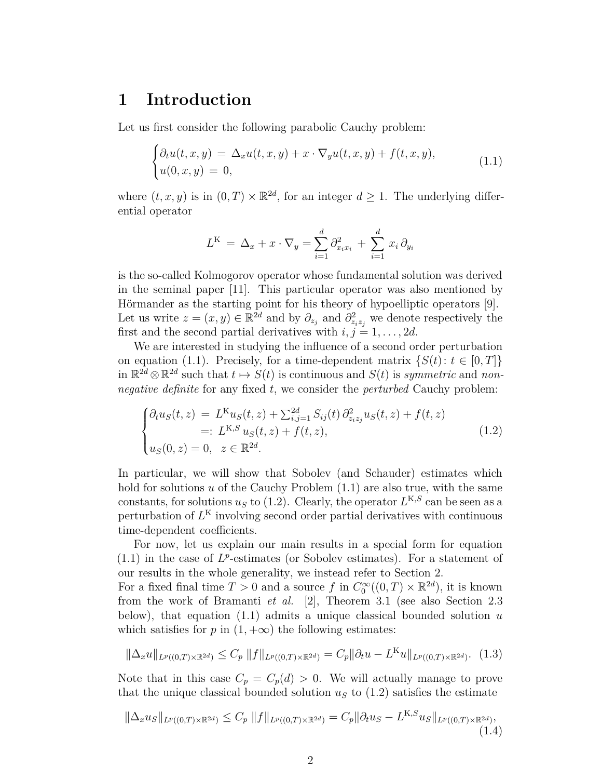## **1 Introduction**

Let us first consider the following parabolic Cauchy problem:

<span id="page-1-0"></span>
$$
\begin{cases} \partial_t u(t,x,y) = \Delta_x u(t,x,y) + x \cdot \nabla_y u(t,x,y) + f(t,x,y), \\ u(0,x,y) = 0, \end{cases}
$$
\n(1.1)

where  $(t, x, y)$  is in  $(0, T) \times \mathbb{R}^{2d}$ , for an integer  $d \ge 1$ . The underlying differential operator

$$
L^{K} = \Delta_x + x \cdot \nabla_y = \sum_{i=1}^{d} \partial_{x_i x_i}^{2} + \sum_{i=1}^{d} x_i \partial_{y_i}
$$

is the so-called Kolmogorov operator whose fundamental solution was derived in the seminal paper [\[11\]](#page-24-1). This particular operator was also mentioned by Hörmander as the starting point for his theory of hypoelliptic operators [\[9\]](#page-24-2). Let us write  $z = (x, y) \in \mathbb{R}^{2d}$  and by  $\partial_{z_j}$  and  $\partial_{z_i z_j}^2$  we denote respectively the first and the second partial derivatives with  $i, j = 1, \ldots, 2d$ .

We are interested in studying the influence of a second order perturbation on equation [\(1.1\)](#page-1-0). Precisely, for a time-dependent matrix  $\{S(t): t \in [0, T]\}$ in  $\mathbb{R}^{2d} \otimes \mathbb{R}^{2d}$  such that  $t \mapsto S(t)$  is continuous and  $S(t)$  is *symmetric* and *nonnegative definite* for any fixed *t*, we consider the *perturbed* Cauchy problem:

<span id="page-1-1"></span>
$$
\begin{cases} \partial_t u_S(t,z) = L^K u_S(t,z) + \sum_{i,j=1}^{2d} S_{ij}(t) \, \partial_{z_i z_j}^2 u_S(t,z) + f(t,z) \\ =: L^{K,S} u_S(t,z) + f(t,z), \\ u_S(0,z) = 0, \ z \in \mathbb{R}^{2d}. \end{cases} \tag{1.2}
$$

In particular, we will show that Sobolev (and Schauder) estimates which hold for solutions *u* of the Cauchy Problem [\(1.1\)](#page-1-0) are also true, with the same constants, for solutions  $u<sub>S</sub>$  to [\(1.2\)](#page-1-1). Clearly, the operator  $L<sup>K,S</sup>$  can be seen as a perturbation of *L* <sup>K</sup> involving second order partial derivatives with continuous time-dependent coefficients.

For now, let us explain our main results in a special form for equation  $(1.1)$  in the case of  $L^p$ -estimates (or Sobolev estimates). For a statement of our results in the whole generality, we instead refer to Section 2.

For a fixed final time  $T > 0$  and a source  $f$  in  $C_0^{\infty}((0,T) \times \mathbb{R}^{2d})$ , it is known from the work of Bramanti *et al.* [\[2\]](#page-23-0), Theorem 3*.*1 (see also Section [2.3](#page-10-0) below), that equation [\(1.1\)](#page-1-0) admits a unique classical bounded solution *u* which satisfies for  $p$  in  $(1, +\infty)$  the following estimates:

<span id="page-1-2"></span>
$$
\|\Delta_x u\|_{L^p((0,T)\times\mathbb{R}^{2d})} \le C_p \|f\|_{L^p((0,T)\times\mathbb{R}^{2d})} = C_p \|\partial_t u - L^K u\|_{L^p((0,T)\times\mathbb{R}^{2d})}. \tag{1.3}
$$

Note that in this case  $C_p = C_p(d) > 0$ . We will actually manage to prove that the unique classical bounded solution  $u<sub>S</sub>$  to  $(1.2)$  satisfies the estimate

<span id="page-1-3"></span>
$$
\|\Delta_x u_S\|_{L^p((0,T)\times\mathbb{R}^{2d})} \le C_p \|f\|_{L^p((0,T)\times\mathbb{R}^{2d})} = C_p \|\partial_t u_S - L^{K,S} u_S\|_{L^p((0,T)\times\mathbb{R}^{2d})},\tag{1.4}
$$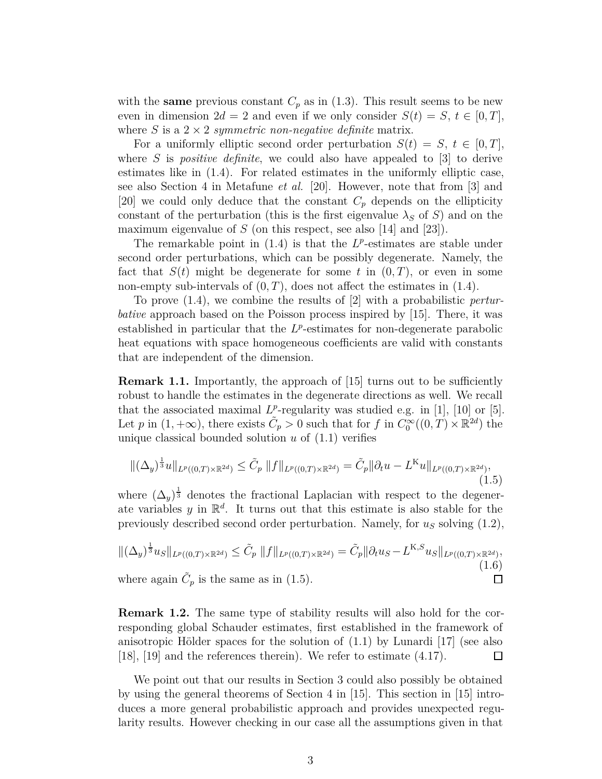with the **same** previous constant  $C_p$  as in [\(1.3\)](#page-1-2). This result seems to be new even in dimension  $2d = 2$  and even if we only consider  $S(t) = S$ ,  $t \in [0, T]$ , where *S* is a  $2 \times 2$  *symmetric non-negative definite* matrix.

For a uniformly elliptic second order perturbation  $S(t) = S$ ,  $t \in [0, T]$ , where *S* is *positive definite*, we could also have appealed to [\[3\]](#page-23-1) to derive estimates like in [\(1.4\)](#page-1-3). For related estimates in the uniformly elliptic case, see also Section 4 in Metafune *et al.* [\[20\]](#page-25-0). However, note that from [\[3\]](#page-23-1) and [\[20\]](#page-25-0) we could only deduce that the constant  $C_p$  depends on the ellipticity constant of the perturbation (this is the first eigenvalue  $\lambda_S$  of *S*) and on the maximum eigenvalue of *S* (on this respect, see also [\[14\]](#page-24-3) and [\[23\]](#page-25-1)).

The remarkable point in  $(1.4)$  is that the  $L^p$ -estimates are stable under second order perturbations, which can be possibly degenerate. Namely, the fact that  $S(t)$  might be degenerate for some t in  $(0,T)$ , or even in some non-empty sub-intervals of  $(0, T)$ , does not affect the estimates in  $(1.4)$ .

To prove [\(1.4\)](#page-1-3), we combine the results of [\[2\]](#page-23-0) with a probabilistic *perturbative* approach based on the Poisson process inspired by [\[15\]](#page-24-0). There, it was established in particular that the  $L^p$ -estimates for non-degenerate parabolic heat equations with space homogeneous coefficients are valid with constants that are independent of the dimension.

**Remark 1.1.** Importantly, the approach of [\[15\]](#page-24-0) turns out to be sufficiently robust to handle the estimates in the degenerate directions as well. We recall that the associated maximal  $L^p$ -regularity was studied e.g. in [\[1\]](#page-23-2), [\[10\]](#page-24-4) or [\[5\]](#page-23-3). Let *p* in  $(1, +\infty)$ , there exists  $\tilde{C}_p > 0$  such that for *f* in  $C_0^{\infty}((0, T) \times \mathbb{R}^{2d})$  the unique classical bounded solution  $u$  of  $(1.1)$  verifies

<span id="page-2-0"></span>
$$
\|(\Delta_y)^{\frac{1}{3}}u\|_{L^p((0,T)\times\mathbb{R}^{2d})}\leq \tilde{C}_p\,\|f\|_{L^p((0,T)\times\mathbb{R}^{2d})}=\tilde{C}_p\|\partial_t u - L^K u\|_{L^p((0,T)\times\mathbb{R}^{2d})},\tag{1.5}
$$

where  $(\Delta_y)^{\frac{1}{3}}$  denotes the fractional Laplacian with respect to the degenerate variables  $y$  in  $\mathbb{R}^d$ . It turns out that this estimate is also stable for the previously described second order perturbation. Namely, for  $u<sub>S</sub>$  solving  $(1.2)$ ,

$$
\|(\Delta_y)^{\frac{1}{3}}u_S\|_{L^p((0,T)\times\mathbb{R}^{2d})} \leq \tilde{C}_p \|f\|_{L^p((0,T)\times\mathbb{R}^{2d})} = \tilde{C}_p \|\partial_t u_S - L^{K,S}u_S\|_{L^p((0,T)\times\mathbb{R}^{2d})},
$$
\nwhere again  $\tilde{C}_p$  is the same as in (1.5).

**Remark 1.2.** The same type of stability results will also hold for the corresponding global Schauder estimates, first established in the framework of anisotropic Hölder spaces for the solution of  $(1.1)$  by Lunardi [\[17\]](#page-24-5) (see also [\[18\]](#page-24-6), [\[19\]](#page-24-7) and the references therein). We refer to estimate [\(4.17\)](#page-23-4).  $\Box$ 

We point out that our results in Section 3 could also possibly be obtained by using the general theorems of Section 4 in [\[15\]](#page-24-0). This section in [\[15\]](#page-24-0) introduces a more general probabilistic approach and provides unexpected regularity results. However checking in our case all the assumptions given in that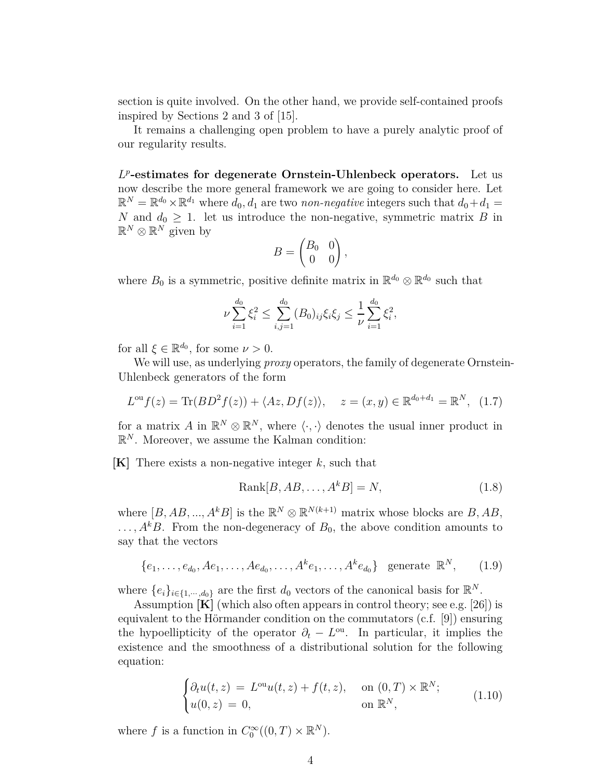section is quite involved. On the other hand, we provide self-contained proofs inspired by Sections 2 and 3 of [\[15\]](#page-24-0).

It remains a challenging open problem to have a purely analytic proof of our regularity results.

*L p* **-estimates for degenerate Ornstein-Uhlenbeck operators.** Let us now describe the more general framework we are going to consider here. Let  $\mathbb{R}^N = \mathbb{R}^{d_0} \times \mathbb{R}^{d_1}$  where  $d_0, d_1$  are two *non-negative* integers such that  $d_0 + d_1 =$ *N* and  $d_0 \geq 1$ . let us introduce the non-negative, symmetric matrix *B* in  $\mathbb{R}^N \otimes \mathbb{R}^N$  given by

$$
B = \begin{pmatrix} B_0 & 0 \\ 0 & 0 \end{pmatrix},
$$

where  $B_0$  is a symmetric, positive definite matrix in  $\mathbb{R}^{d_0} \otimes \mathbb{R}^{d_0}$  such that

$$
\nu \sum_{i=1}^{d_0} \xi_i^2 \le \sum_{i,j=1}^{d_0} (B_0)_{ij} \xi_i \xi_j \le \frac{1}{\nu} \sum_{i=1}^{d_0} \xi_i^2,
$$

for all  $\xi \in \mathbb{R}^{d_0}$ , for some  $\nu > 0$ .

We will use, as underlying *proxy* operators, the family of degenerate Ornstein-Uhlenbeck generators of the form

<span id="page-3-1"></span>
$$
L^{\text{ou}}f(z) = \text{Tr}(BD^2f(z)) + \langle Az, Df(z) \rangle, \quad z = (x, y) \in \mathbb{R}^{d_0 + d_1} = \mathbb{R}^N, \tag{1.7}
$$

for a matrix *A* in  $\mathbb{R}^N \otimes \mathbb{R}^N$ , where  $\langle \cdot, \cdot \rangle$  denotes the usual inner product in  $\mathbb{R}^N$ . Moreover, we assume the Kalman condition:

**[K]** There exists a non-negative integer *k*, such that

$$
Rank[B, AB, \dots, A^k B] = N,
$$
\n(1.8)

where  $[B, AB, ..., A^k B]$  is the  $\mathbb{R}^N \otimes \mathbb{R}^{N(k+1)}$  matrix whose blocks are  $B, AB$ ,  $\ldots$ ,  $A^kB$ . From the non-degeneracy of  $B_0$ , the above condition amounts to say that the vectors

$$
\{e_1, \ldots, e_{d_0}, Ae_1, \ldots, Ae_{d_0}, \ldots, A^k e_1, \ldots, A^k e_{d_0}\} \text{ generate } \mathbb{R}^N, \qquad (1.9)
$$

where  $\{e_i\}_{i \in \{1,\dots,d_0\}}$  are the first  $d_0$  vectors of the canonical basis for  $\mathbb{R}^N$ .

Assumption **[K]** (which also often appears in control theory; see e.g. [\[26\]](#page-25-2)) is equivalent to the Hörmander condition on the commutators (c.f. [\[9\]](#page-24-2)) ensuring the hypoellipticity of the operator  $\partial_t - L^{\text{ou}}$ . In particular, it implies the existence and the smoothness of a distributional solution for the following equation:

<span id="page-3-0"></span>
$$
\begin{cases} \partial_t u(t,z) = L^{\text{ou}} u(t,z) + f(t,z), & \text{on } (0,T) \times \mathbb{R}^N; \\ u(0,z) = 0, & \text{on } \mathbb{R}^N, \end{cases}
$$
 (1.10)

where *f* is a function in  $C_0^{\infty}((0,T) \times \mathbb{R}^N)$ .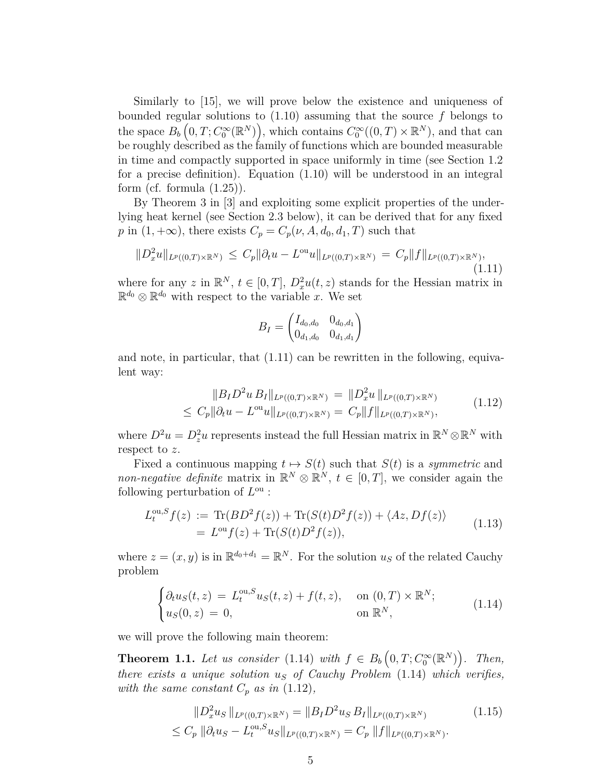Similarly to [\[15\]](#page-24-0), we will prove below the existence and uniqueness of bounded regular solutions to [\(1.10\)](#page-3-0) assuming that the source *f* belongs to the space  $B_b(0,T; C_0^{\infty}(\mathbb{R}^N))$ , which contains  $C_0^{\infty}((0,T)\times \mathbb{R}^N)$ , and that can be roughly described as the family of functions which are bounded measurable in time and compactly supported in space uniformly in time (see Section [1.2](#page-7-0) for a precise definition). Equation [\(1.10\)](#page-3-0) will be understood in an integral form (cf. formula  $(1.25)$ ).

By Theorem 3 in [\[3\]](#page-23-1) and exploiting some explicit properties of the underlying heat kernel (see Section [2.3](#page-10-0) below), it can be derived that for any fixed *p* in  $(1, +\infty)$ , there exists  $C_p = C_p(\nu, A, d_0, d_1, T)$  such that

<span id="page-4-0"></span>
$$
||D_x^2u||_{L^p((0,T)\times\mathbb{R}^N)} \leq C_p ||\partial_t u - L^{\text{ou}}u||_{L^p((0,T)\times\mathbb{R}^N)} = C_p ||f||_{L^p((0,T)\times\mathbb{R}^N)},
$$
\n(1.11)

where for any *z* in  $\mathbb{R}^N$ ,  $t \in [0, T]$ ,  $D_x^2 u(t, z)$  stands for the Hessian matrix in  $\mathbb{R}^{d_0} \otimes \mathbb{R}^{d_0}$  with respect to the variable *x*. We set

$$
B_I = \begin{pmatrix} I_{d_0,d_0} & 0_{d_0,d_1} \\ 0_{d_1,d_0} & 0_{d_1,d_1} \end{pmatrix}
$$

and note, in particular, that [\(1.11\)](#page-4-0) can be rewritten in the following, equivalent way:

$$
||B_I D^2 u B_I||_{L^p((0,T)\times \mathbb{R}^N)} = ||D_x^2 u||_{L^p((0,T)\times \mathbb{R}^N)}
$$
  
\n
$$
\leq C_p ||\partial_t u - L^{\text{ou}} u||_{L^p((0,T)\times \mathbb{R}^N)} = C_p ||f||_{L^p((0,T)\times \mathbb{R}^N)},
$$
\n(1.12)

<span id="page-4-2"></span>where  $D^2u = D^2_z u$  represents instead the full Hessian matrix in  $\mathbb{R}^N \otimes \mathbb{R}^N$  with respect to *z*.

Fixed a continuous mapping  $t \mapsto S(t)$  such that  $S(t)$  is a *symmetric* and *non-negative definite* matrix in  $\mathbb{R}^N \otimes \mathbb{R}^N$ ,  $t \in [0, T]$ , we consider again the following perturbation of  $L^{\text{ou}}$ :

<span id="page-4-4"></span>
$$
L_t^{\text{ou},S} f(z) := \text{Tr}(BD^2 f(z)) + \text{Tr}(S(t)D^2 f(z)) + \langle Az, Df(z) \rangle
$$
  
= 
$$
L^{\text{ou}} f(z) + \text{Tr}(S(t)D^2 f(z)),
$$
 (1.13)

where  $z = (x, y)$  is in  $\mathbb{R}^{d_0 + d_1} = \mathbb{R}^N$ . For the solution  $u_S$  of the related Cauchy problem

<span id="page-4-1"></span>
$$
\begin{cases} \partial_t u_S(t,z) = L_t^{\text{ou},S} u_S(t,z) + f(t,z), & \text{on } (0,T) \times \mathbb{R}^N; \\ u_S(0,z) = 0, & \text{on } \mathbb{R}^N, \end{cases}
$$
 (1.14)

we will prove the following main theorem:

<span id="page-4-5"></span>**Theorem 1.1.** Let us consider [\(1.14\)](#page-4-1) with  $f \in B_b\left(0, T; C_0^{\infty}(\mathbb{R}^N)\right)$ . Then, *there exists a unique solution u<sup>S</sup> of Cauchy Problem* [\(1.14\)](#page-4-1) *which verifies, with the same constant*  $C_p$  *as in* [\(1.12\)](#page-4-2)*,* 

<span id="page-4-3"></span>
$$
||D_x^2 u_S||_{L^p((0,T)\times\mathbb{R}^N)} = ||B_I D^2 u_S B_I||_{L^p((0,T)\times\mathbb{R}^N)}
$$
(1.15)  

$$
\leq C_p ||\partial_t u_S - L_t^{\text{ou},S} u_S||_{L^p((0,T)\times\mathbb{R}^N)} = C_p ||f||_{L^p((0,T)\times\mathbb{R}^N)}.
$$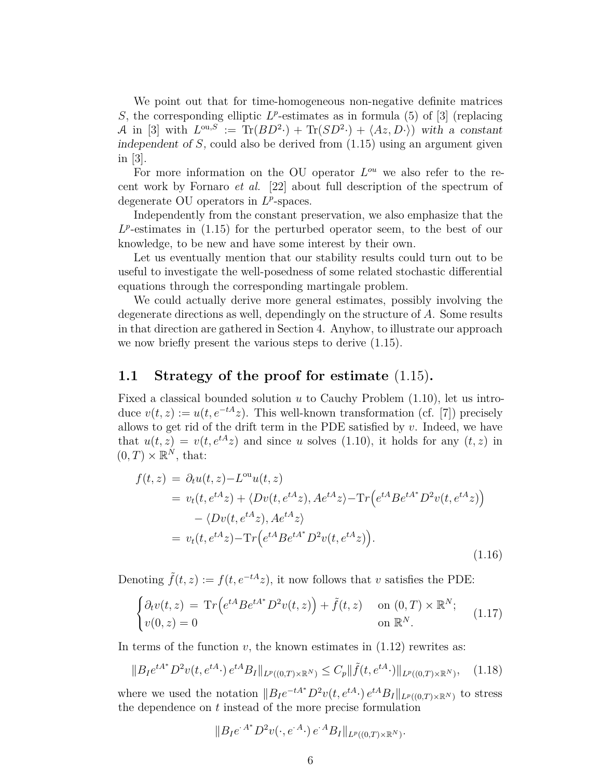We point out that for time-homogeneous non-negative definite matrices *S*, the corresponding elliptic  $L^p$ -estimates as in formula (5) of [\[3\]](#page-23-1) (replacing A in [\[3\]](#page-23-1) with  $L^{\text{ou},S} := \text{Tr}(BD^2 \cdot) + \text{Tr}(SD^2 \cdot) + \langle Az, D \cdot \rangle$  with a constant independent of *S*, could also be derived from [\(1.15\)](#page-4-3) using an argument given in [\[3\]](#page-23-1).

For more information on the OU operator  $L^{ou}$  we also refer to the recent work by Fornaro *et al.* [\[22\]](#page-25-3) about full description of the spectrum of degenerate OU operators in  $L^p$ -spaces.

Independently from the constant preservation, we also emphasize that the  $L^p$ -estimates in  $(1.15)$  for the perturbed operator seem, to the best of our knowledge, to be new and have some interest by their own.

Let us eventually mention that our stability results could turn out to be useful to investigate the well-posedness of some related stochastic differential equations through the corresponding martingale problem.

We could actually derive more general estimates, possibly involving the degenerate directions as well, dependingly on the structure of *A*. Some results in that direction are gathered in Section [4.](#page-17-0) Anyhow, to illustrate our approach we now briefly present the various steps to derive [\(1.15\)](#page-4-3).

#### <span id="page-5-3"></span>**1.1 Strategy of the proof for estimate** [\(1.15\)](#page-4-3)**.**

Fixed a classical bounded solution *u* to Cauchy Problem [\(1.10\)](#page-3-0), let us introduce  $v(t, z) := u(t, e^{-tA}z)$ . This well-known transformation (cf. [\[7\]](#page-24-8)) precisely allows to get rid of the drift term in the PDE satisfied by *v*. Indeed, we have that  $u(t, z) = v(t, e^{tA}z)$  and since *u* solves [\(1.10\)](#page-3-0), it holds for any  $(t, z)$  in  $(0, T) \times \mathbb{R}^N$ , that:

<span id="page-5-2"></span>
$$
f(t, z) = \partial_t u(t, z) - L^{\text{ou}} u(t, z)
$$
  
=  $v_t(t, e^{tA}z) + \langle Dv(t, e^{tA}z), Ae^{tA}z \rangle - \text{Tr}\left(e^{tA}Be^{tA^*}D^2v(t, e^{tA}z)\right)$   

$$
- \langle Dv(t, e^{tA}z), Ae^{tA}z \rangle
$$
  
=  $v_t(t, e^{tA}z) - \text{Tr}\left(e^{tA}Be^{tA^*}D^2v(t, e^{tA}z)\right).$  (1.16)

Denoting  $\tilde{f}(t, z) := f(t, e^{-tA}z)$ , it now follows that *v* satisfies the PDE:

<span id="page-5-1"></span>
$$
\begin{cases} \partial_t v(t,z) = \operatorname{Tr} \left( e^{tA} B e^{tA^*} D^2 v(t,z) \right) + \tilde{f}(t,z) & \text{on } (0,T) \times \mathbb{R}^N; \\ v(0,z) = 0 & \text{on } \mathbb{R}^N. \end{cases}
$$
(1.17)

In terms of the function  $v$ , the known estimates in  $(1.12)$  rewrites as:

<span id="page-5-0"></span>
$$
||B_I e^{tA^*} D^2 v(t, e^{tA}) e^{tA} B_I ||_{L^p((0,T)\times \mathbb{R}^N)} \le C_p ||\tilde{f}(t, e^{tA} \cdot) ||_{L^p((0,T)\times \mathbb{R}^N)}, \quad (1.18)
$$

where we used the notation  $||B_I e^{-tA^*} D^2 v(t, e^{tA}) e^{tA} B_I||_{L^p((0,T)\times \mathbb{R}^N)}$  to stress the dependence on *t* instead of the more precise formulation

$$
||B_I e^{A^*} D^2 v(\cdot, e^{A} \cdot) e^{A} B_I ||_{L^p((0,T) \times \mathbb{R}^N)}.
$$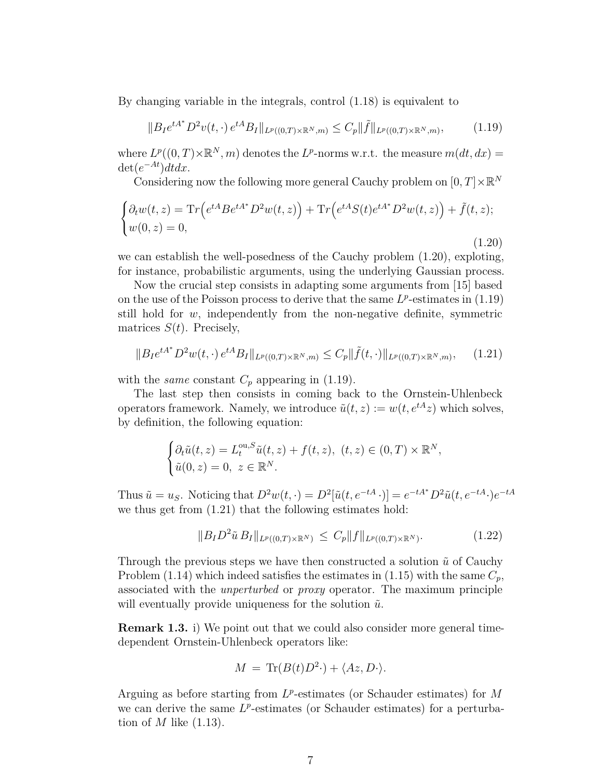By changing variable in the integrals, control [\(1.18\)](#page-5-0) is equivalent to

<span id="page-6-1"></span>
$$
||B_I e^{tA^*} D^2 v(t, \cdot) e^{tA} B_I ||_{L^p((0,T) \times \mathbb{R}^N, m)} \le C_p ||\tilde{f}||_{L^p((0,T) \times \mathbb{R}^N, m)},
$$
(1.19)

where  $L^p((0,T)\times\mathbb{R}^N,m)$  denotes the  $L^p$ -norms w.r.t. the measure  $m(dt,dx)$  =  $\det(e^{-At})dt dx$ .

Considering now the following more general Cauchy problem on  $[0,T]\times\mathbb{R}^N$ 

<span id="page-6-0"></span>
$$
\begin{cases}\n\partial_t w(t,z) = \operatorname{Tr}\left(e^{tA} B e^{tA^*} D^2 w(t,z)\right) + \operatorname{Tr}\left(e^{tA} S(t) e^{tA^*} D^2 w(t,z)\right) + \tilde{f}(t,z); \\
w(0,z) = 0,\n\end{cases}
$$
\n(1.20)

we can establish the well-posedness of the Cauchy problem [\(1.20\)](#page-6-0), exploting, for instance, probabilistic arguments, using the underlying Gaussian process.

Now the crucial step consists in adapting some arguments from [\[15\]](#page-24-0) based on the use of the Poisson process to derive that the same  $L^p$ -estimates in  $(1.19)$ still hold for *w*, independently from the non-negative definite, symmetric matrices *S*(*t*). Precisely,

<span id="page-6-2"></span>
$$
||B_I e^{tA^*} D^2 w(t, \cdot) e^{tA} B_I ||_{L^p((0,T) \times \mathbb{R}^N, m)} \le C_p ||\tilde{f}(t, \cdot)||_{L^p((0,T) \times \mathbb{R}^N, m)}, \quad (1.21)
$$

with the *same* constant  $C_p$  appearing in [\(1.19\)](#page-6-1).

The last step then consists in coming back to the Ornstein-Uhlenbeck operators framework. Namely, we introduce  $\tilde{u}(t, z) := w(t, e^{tA}z)$  which solves, by definition, the following equation:

$$
\begin{cases} \partial_t \tilde{u}(t,z) = L_t^{\text{ou},S} \tilde{u}(t,z) + f(t,z), & (t,z) \in (0,T) \times \mathbb{R}^N, \\ \tilde{u}(0,z) = 0, & z \in \mathbb{R}^N. \end{cases}
$$

Thus  $\tilde{u} = u_S$ . Noticing that  $D^2w(t, \cdot) = D^2[\tilde{u}(t, e^{-tA} \cdot)] = e^{-tA^*}D^2\tilde{u}(t, e^{-tA} \cdot)e^{-tA}$ we thus get from [\(1.21\)](#page-6-2) that the following estimates hold:

<span id="page-6-3"></span>
$$
||B_I D^2 \tilde{u} B_I||_{L^p((0,T)\times \mathbb{R}^N)} \le C_p ||f||_{L^p((0,T)\times \mathbb{R}^N)}.
$$
\n(1.22)

Through the previous steps we have then constructed a solution  $\tilde{u}$  of Cauchy Problem [\(1.14\)](#page-4-1) which indeed satisfies the estimates in [\(1.15\)](#page-4-3) with the same  $C_p$ , associated with the *unperturbed* or *proxy* operator. The maximum principle will eventually provide uniqueness for the solution  $\tilde{u}$ .

**Remark 1.3.** i) We point out that we could also consider more general timedependent Ornstein-Uhlenbeck operators like:

$$
M = \text{Tr}(B(t)D^2) + \langle Az, D \cdot \rangle.
$$

Arguing as before starting from *L p* -estimates (or Schauder estimates) for *M* we can derive the same  $L^p$ -estimates (or Schauder estimates) for a perturbation of *M* like [\(1.13\)](#page-4-4).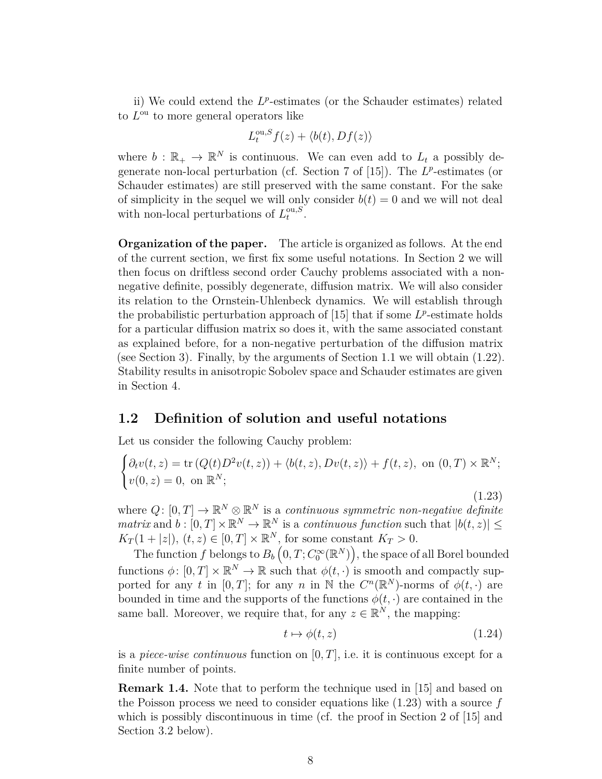ii) We could extend the L<sup>p</sup>-estimates (or the Schauder estimates) related to  $L^{\text{ou}}$  to more general operators like

$$
L_t^{\text{ou},S} f(z) + \langle b(t), Df(z) \rangle
$$

where  $b : \mathbb{R}_+ \to \mathbb{R}^N$  is continuous. We can even add to  $L_t$  a possibly de-generate non-local perturbation (cf. Section 7 of [\[15\]](#page-24-0)). The L<sup>*p*</sup>-estimates (or Schauder estimates) are still preserved with the same constant. For the sake of simplicity in the sequel we will only consider  $b(t) = 0$  and we will not deal with non-local perturbations of  $L_t^{\text{ou},S}$  $\frac{\partial u}{\partial t}$ .

**Organization of the paper.** The article is organized as follows. At the end of the current section, we first fix some useful notations. In Section [2](#page-8-1) we will then focus on driftless second order Cauchy problems associated with a nonnegative definite, possibly degenerate, diffusion matrix. We will also consider its relation to the Ornstein-Uhlenbeck dynamics. We will establish through the probabilistic perturbation approach of  $[15]$  that if some  $L^p$ -estimate holds for a particular diffusion matrix so does it, with the same associated constant as explained before, for a non-negative perturbation of the diffusion matrix (see Section 3). Finally, by the arguments of Section 1.1 we will obtain [\(1.22\)](#page-6-3). Stability results in anisotropic Sobolev space and Schauder estimates are given in Section 4.

### <span id="page-7-0"></span>**1.2 Definition of solution and useful notations**

Let us consider the following Cauchy problem:

<span id="page-7-1"></span>
$$
\begin{cases} \partial_t v(t,z) = \text{tr}\left(Q(t)D^2v(t,z)\right) + \langle b(t,z), Dv(t,z)\rangle + f(t,z), \text{ on } (0,T) \times \mathbb{R}^N; \\ v(0,z) = 0, \text{ on } \mathbb{R}^N; \end{cases}
$$

where  $Q: [0, T] \to \mathbb{R}^N \otimes \mathbb{R}^N$  is a *continuous symmetric non-negative definite matrix* and  $b: [0, T] \times \mathbb{R}^N \to \mathbb{R}^N$  is a *continuous function* such that  $|b(t, z)| \le$  $K_T(1+|z|), (t, z) \in [0, T] \times \mathbb{R}^N$ , for some constant  $K_T > 0$ .

The function  $f$  belongs to  $B_b\left(0, T; C_0^\infty(\mathbb{R}^N)\right)$ , the space of all Borel bounded functions  $\phi: [0, T] \times \mathbb{R}^N \to \mathbb{R}$  such that  $\phi(t, \cdot)$  is smooth and compactly supported for any *t* in  $[0, T]$ ; for any *n* in N the  $C^n(\mathbb{R}^N)$ -norms of  $\phi(t, \cdot)$  are bounded in time and the supports of the functions  $\phi(t, \cdot)$  are contained in the same ball. Moreover, we require that, for any  $z \in \mathbb{R}^N$ , the mapping:

$$
t \mapsto \phi(t, z) \tag{1.24}
$$

(1.23)

is a *piece-wise continuous* function on [0*, T*], i.e. it is continuous except for a finite number of points.

**Remark 1.4.** Note that to perform the technique used in [\[15\]](#page-24-0) and based on the Poisson process we need to consider equations like [\(1.23\)](#page-7-1) with a source *f* which is possibly discontinuous in time (cf. the proof in Section 2 of [\[15\]](#page-24-0) and Section [3.2](#page-13-0) below).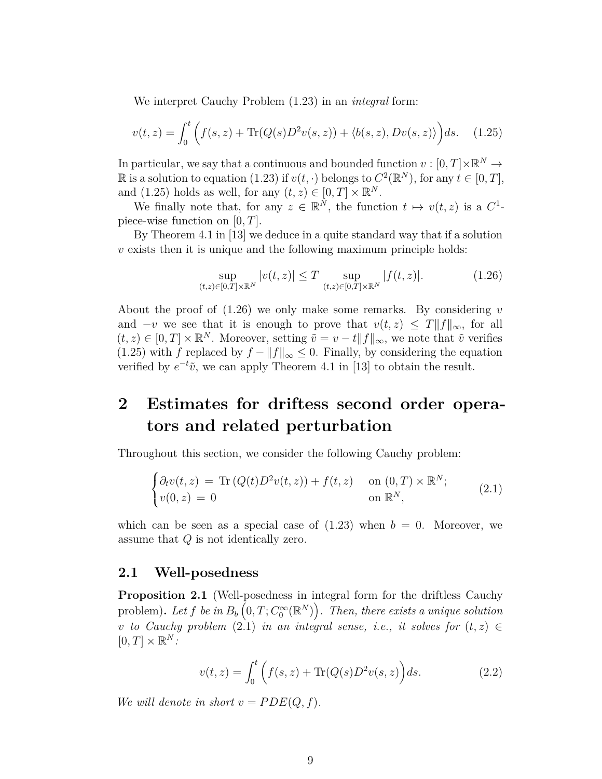We interpret Cauchy Problem [\(1.23\)](#page-7-1) in an *integral* form:

<span id="page-8-0"></span>
$$
v(t,z) = \int_0^t \left( f(s,z) + \text{Tr}(Q(s)D^2v(s,z)) + \langle b(s,z), Dv(s,z) \rangle \right) ds. \tag{1.25}
$$

In particular, we say that a continuous and bounded function  $v : [0, T] \times \mathbb{R}^N \to$ R is a solution to equation [\(1.23\)](#page-7-1) if  $v(t, \cdot)$  belongs to  $C^2(\mathbb{R}^N)$ , for any  $t \in [0, T]$ , and [\(1.25\)](#page-8-0) holds as well, for any  $(t, z) \in [0, T] \times \mathbb{R}^N$ .

We finally note that, for any  $z \in \mathbb{R}^N$ , the function  $t \mapsto v(t, z)$  is a  $C^1$ piece-wise function on [0*, T*].

By Theorem 4.1 in [\[13\]](#page-24-9) we deduce in a quite standard way that if a solution *v* exists then it is unique and the following maximum principle holds:

<span id="page-8-2"></span>
$$
\sup_{(t,z)\in[0,T]\times\mathbb{R}^N} |v(t,z)| \le T \sup_{(t,z)\in[0,T]\times\mathbb{R}^N} |f(t,z)|. \tag{1.26}
$$

About the proof of [\(1.26\)](#page-8-2) we only make some remarks. By considering *v* and  $-v$  we see that it is enough to prove that  $v(t, z) \leq T||f||_{\infty}$ , for all  $(t, z) \in [0, T] \times \mathbb{R}^N$ . Moreover, setting  $\tilde{v} = v - t ||f||_{\infty}$ , we note that  $\tilde{v}$  verifies [\(1.25\)](#page-8-0) with *f* replaced by  $f - ||f||_{\infty} \leq 0$ . Finally, by considering the equation verified by  $e^{-t}\tilde{v}$ , we can apply Theorem 4.1 in [\[13\]](#page-24-9) to obtain the result.

## <span id="page-8-1"></span>**2 Estimates for driftess second order operators and related perturbation**

Throughout this section, we consider the following Cauchy problem:

<span id="page-8-3"></span>
$$
\begin{cases} \partial_t v(t,z) = \text{Tr}\left(Q(t)D^2v(t,z)\right) + f(t,z) & \text{on } (0,T) \times \mathbb{R}^N; \\ v(0,z) = 0 & \text{on } \mathbb{R}^N, \end{cases}
$$
 (2.1)

which can be seen as a special case of  $(1.23)$  when  $b = 0$ . Moreover, we assume that *Q* is not identically zero.

#### **2.1 Well-posedness**

<span id="page-8-5"></span>**Proposition 2.1** (Well-posedness in integral form for the driftless Cauchy problem). Let  $f$  be in  $B_b\left(0,T;C_0^\infty(\mathbb{R}^N)\right)$ . Then, there exists a unique solution *v to Cauchy problem* [\(2.1\)](#page-8-3) *in an integral sense, i.e., it solves for*  $(t, z) \in$  $[0, T] \times \mathbb{R}^N$ :

<span id="page-8-4"></span>
$$
v(t, z) = \int_0^t \left( f(s, z) + \text{Tr}(Q(s)D^2 v(s, z) \right) ds.
$$
 (2.2)

*We will denote in short*  $v = PDE(Q, f)$ *.*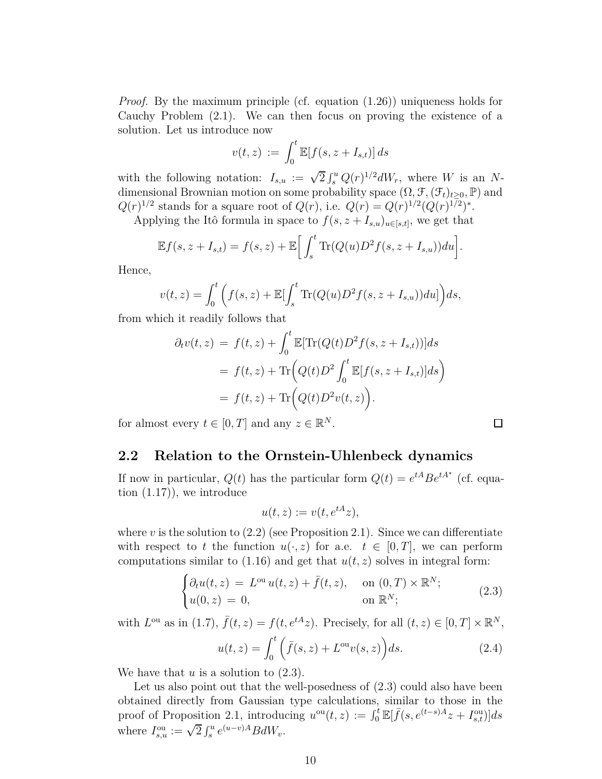*Proof.* By the maximum principle (cf. equation  $(1.26)$ ) uniqueness holds for Cauchy Problem [\(2.1\)](#page-8-3). We can then focus on proving the existence of a solution. Let us introduce now

$$
v(t,z) := \int_0^t \mathbb{E}[f(s, z + I_{s,t})] ds
$$

with the following notation:  $I_{s,u} := \sqrt{2} \int_s^u Q(r)^{1/2} dW_r$ , where *W* is an *N*dimensional Brownian motion on some probability space  $(\Omega, \mathcal{F}, (\mathcal{F}_t)_{t>0}, \mathbb{P})$  and  $Q(r)^{1/2}$  stands for a square root of  $Q(r)$ , i.e.  $Q(r) = Q(r)^{1/2} (Q(r)^{1/2})^*$ .

Applying the Itô formula in space to  $f(s, z + I_{s,u})_{u \in [s,t]}$ , we get that

$$
\mathbb{E}f(s, z+I_{s,t}) = f(s, z) + \mathbb{E}\bigg[\int_s^t \text{Tr}(Q(u)D^2f(s, z+I_{s,u}))du\bigg].
$$

Hence,

$$
v(t,z) = \int_0^t \left( f(s,z) + \mathbb{E}[\int_s^t \text{Tr}(Q(u)D^2 f(s,z+I_{s,u}))du] \right) ds,
$$

from which it readily follows that

$$
\partial_t v(t, z) = f(t, z) + \int_0^t \mathbb{E}[\text{Tr}(Q(t)D^2 f(s, z + I_{s,t}))]ds
$$
  
=  $f(t, z) + \text{Tr}\Big(Q(t)D^2 \int_0^t \mathbb{E}[f(s, z + I_{s,t})]ds\Big)$   
=  $f(t, z) + \text{Tr}\Big(Q(t)D^2 v(t, z)\Big).$ 

for almost every  $t \in [0, T]$  and any  $z \in \mathbb{R}^N$ .

#### **2.2 Relation to the Ornstein-Uhlenbeck dynamics**

If now in particular,  $Q(t)$  has the particular form  $Q(t) = e^{tA}Be^{tA^*}$  (cf. equation  $(1.17)$ , we introduce

$$
u(t,z) := v(t, e^{tA}z),
$$

where  $v$  is the solution to  $(2.2)$  (see Proposition [2.1\)](#page-8-5). Since we can differentiate with respect to *t* the function  $u(\cdot, z)$  for a.e.  $t \in [0, T]$ , we can perform computations similar to  $(1.16)$  and get that  $u(t, z)$  solves in integral form:

<span id="page-9-0"></span>
$$
\begin{cases} \partial_t u(t,z) = L^{\text{ou}} u(t,z) + \bar{f}(t,z), & \text{on } (0,T) \times \mathbb{R}^N; \\ u(0,z) = 0, & \text{on } \mathbb{R}^N; \end{cases}
$$
 (2.3)

with  $L^{\text{ou}}$  as in [\(1.7\)](#page-3-1),  $\bar{f}(t, z) = f(t, e^{tA}z)$ . Precisely, for all  $(t, z) \in [0, T] \times \mathbb{R}^N$ ,

$$
u(t,z) = \int_0^t \left(\bar{f}(s,z) + L^{\text{ou}}v(s,z)\right)ds.
$$
 (2.4)

We have that *u* is a solution to [\(2.3\)](#page-9-0).

Let us also point out that the well-posedness of  $(2.3)$  could also have been obtained directly from Gaussian type calculations, similar to those in the proof of Proposition [2.1,](#page-8-5) introducing  $u^{ou}(t, z) := \int_0^t \mathbb{E}[\bar{f}(s, e^{(t-s)A}z + I_{s,t}^{\text{ou}})]ds$ where  $I_{s,u}^{\text{ou}} := \sqrt{2} \int_s^u e^{(u-v)A} B dW_v$ .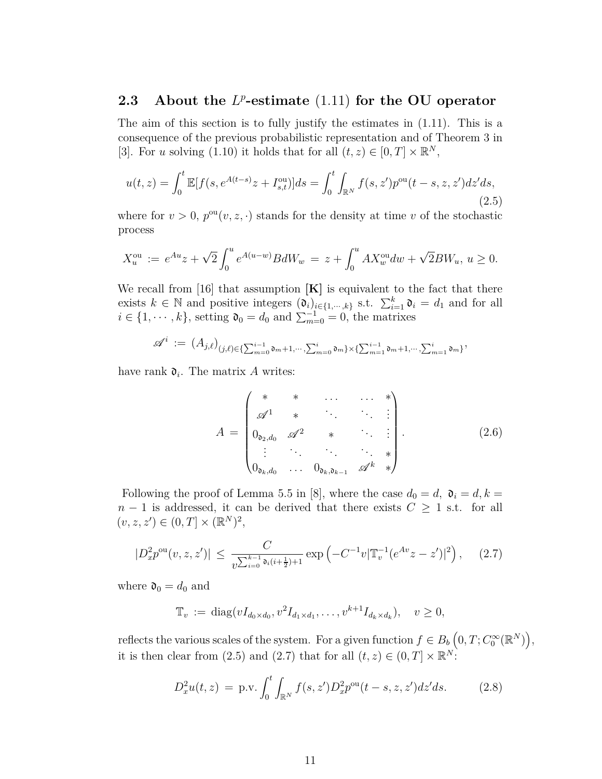## <span id="page-10-0"></span>**2.3** About the L<sup>p</sup>-estimate [\(1.11\)](#page-4-0) for the OU operator

The aim of this section is to fully justify the estimates in  $(1.11)$ . This is a consequence of the previous probabilistic representation and of Theorem 3 in [\[3\]](#page-23-1). For *u* solving [\(1.10\)](#page-3-0) it holds that for all  $(t, z) \in [0, T] \times \mathbb{R}^N$ ,

<span id="page-10-1"></span>
$$
u(t,z) = \int_0^t \mathbb{E}[f(s, e^{A(t-s)}z + I_{s,t}^{\text{ou}})]ds = \int_0^t \int_{\mathbb{R}^N} f(s, z')p^{\text{ou}}(t-s, z, z')dz'ds,
$$
\n(2.5)

where for  $v > 0$ ,  $p^{\text{ou}}(v, z, \cdot)$  stands for the density at time *v* of the stochastic process

$$
X_u^{\text{ou}} := e^{Au} z + \sqrt{2} \int_0^u e^{A(u-w)} B dW_w = z + \int_0^u A X_w^{\text{ou}} dw + \sqrt{2} B W_u, u \ge 0.
$$

We recall from [\[16\]](#page-24-10) that assumption **[K]** is equivalent to the fact that there exists  $k \in \mathbb{N}$  and positive integers  $(\mathfrak{d}_i)_{i \in \{1, \dots, k\}}$  s.t.  $\sum_{i=1}^k \mathfrak{d}_i = d_1$  and for all  $i \in \{1, \dots, k\}$ , setting  $\mathfrak{d}_0 = d_0$  and  $\sum_{m=0}^{-1} = 0$ , the matrixes

$$
\mathscr{A}^{i} \: := \: \big(A_{j,\ell}\big)_{(j,\ell) \in \{\sum_{m=0}^{i-1} \mathfrak{d}_m + 1, \cdots, \sum_{m=0}^{i} \mathfrak{d}_m\} \times \{\sum_{m=1}^{i-1} \mathfrak{d}_m + 1, \cdots, \sum_{m=1}^{i} \mathfrak{d}_m\}},
$$

have rank  $\mathfrak{d}_i$ . The matrix A writes:

<span id="page-10-4"></span>
$$
A = \begin{pmatrix} * & * & \cdots & * \\ \mathscr{A}^1 & * & \cdots & * \\ 0_{\mathfrak{d}_2,d_0} & \mathscr{A}^2 & * & \cdots \\ \vdots & \ddots & \ddots & \ddots & * \\ 0_{\mathfrak{d}_k,d_0} & \cdots & 0_{\mathfrak{d}_k,\mathfrak{d}_{k-1}} & \mathscr{A}^k & * \end{pmatrix} .
$$
 (2.6)

Following the proof of Lemma 5.5 in [\[8\]](#page-24-11), where the case  $d_0 = d$ ,  $\mathfrak{d}_i = d$ ,  $k =$  $n-1$  is addressed, it can be derived that there exists  $C \geq 1$  s.t. for all  $(v, z, z') \in (0, T] \times (\mathbb{R}^{N})^2,$ 

<span id="page-10-2"></span>
$$
|D_x^2 p^{\text{ou}}(v, z, z')| \le \frac{C}{v^{\sum_{i=0}^{k-1} \mathfrak{d}_i(i+\frac{1}{2})+1}} \exp\left(-C^{-1}v|\mathbb{T}_v^{-1}(e^{Av}z - z')|^2\right), \quad (2.7)
$$

where  $\mathfrak{d}_0 = d_0$  and

$$
\mathbb{T}_v := \text{diag}(vI_{d_0 \times d_0}, v^2 I_{d_1 \times d_1}, \dots, v^{k+1} I_{d_k \times d_k}), \quad v \ge 0,
$$

reflects the various scales of the system. For a given function  $f \in B_b\left(0, T; C_0^{\infty}(\mathbb{R}^N)\right)$ , it is then clear from [\(2.5\)](#page-10-1) and [\(2.7\)](#page-10-2) that for all  $(t, z) \in (0, T] \times \mathbb{R}^N$ :

<span id="page-10-3"></span>
$$
D_x^2 u(t, z) = \text{p.v.} \int_0^t \int_{\mathbb{R}^N} f(s, z') D_x^2 p^{\text{ou}}(t - s, z, z') dz' ds. \tag{2.8}
$$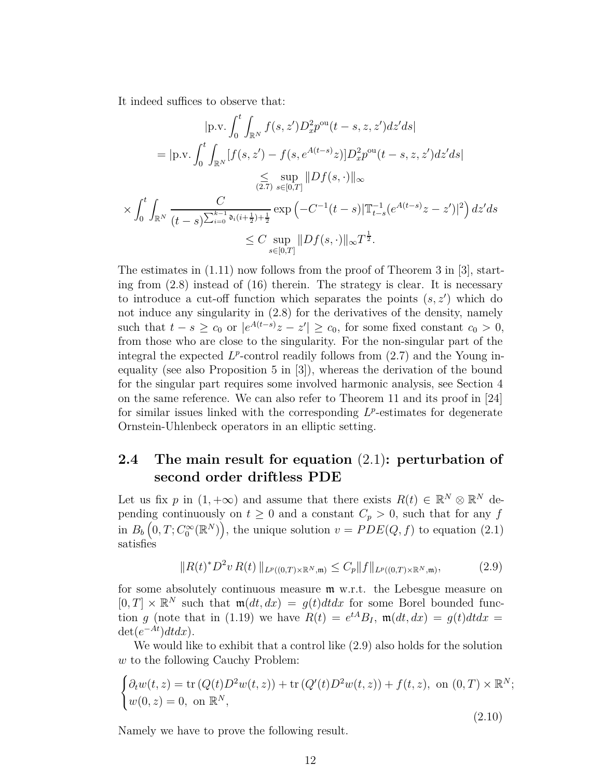It indeed suffices to observe that:

$$
|\text{p.v.} \int_0^t \int_{\mathbb{R}^N} f(s, z') D_x^2 p^{\text{ou}}(t - s, z, z') dz' ds|
$$
  
\n
$$
= |\text{p.v.} \int_0^t \int_{\mathbb{R}^N} [f(s, z') - f(s, e^{A(t - s)} z)] D_x^2 p^{\text{ou}}(t - s, z, z') dz' ds|
$$
  
\n
$$
\leq \sup_{(2.7)} \sup_{s \in [0, T]} ||Df(s, \cdot)||_{\infty}
$$
  
\n
$$
\times \int_0^t \int_{\mathbb{R}^N} \frac{C}{(t - s) \sum_{i=0}^{k-1} o_i(i + \frac{1}{2}) + \frac{1}{2}} exp\left(-C^{-1}(t - s) |\mathbb{T}_{t-s}^{-1}(e^{A(t - s)} z - z')|^2\right) dz' ds
$$
  
\n
$$
\leq C \sup_{s \in [0, T]} ||Df(s, \cdot)||_{\infty} T^{\frac{1}{2}}.
$$

The estimates in  $(1.11)$  now follows from the proof of Theorem 3 in [\[3\]](#page-23-1), starting from [\(2.8\)](#page-10-3) instead of (16) therein. The strategy is clear. It is necessary to introduce a cut-off function which separates the points (*s, z*′ ) which do not induce any singularity in [\(2.8\)](#page-10-3) for the derivatives of the density, namely such that  $t - s \geq c_0$  or  $|e^{A(t-s)}z - z'| \geq c_0$ , for some fixed constant  $c_0 > 0$ , from those who are close to the singularity. For the non-singular part of the integral the expected  $L^p$ -control readily follows from  $(2.7)$  and the Young inequality (see also Proposition 5 in [\[3\]](#page-23-1)), whereas the derivation of the bound for the singular part requires some involved harmonic analysis, see Section 4 on the same reference. We can also refer to Theorem 11 and its proof in [\[24\]](#page-25-4) for similar issues linked with the corresponding  $L^p$ -estimates for degenerate Ornstein-Uhlenbeck operators in an elliptic setting.

### **2.4 The main result for equation** [\(2.1\)](#page-8-3)**: perturbation of second order driftless PDE**

Let us fix *p* in  $(1, +\infty)$  and assume that there exists  $R(t) \in \mathbb{R}^N \otimes \mathbb{R}^N$  depending continuously on  $t \geq 0$  and a constant  $C_p > 0$ , such that for any *f* in  $B_b(0,T; C_0^{\infty}(\mathbb{R}^N))$ , the unique solution  $v = PDE(Q, f)$  to equation [\(2.1\)](#page-8-3) satisfies

<span id="page-11-0"></span>
$$
||R(t)^* D^2 v R(t) ||_{L^p((0,T)\times \mathbb{R}^N,\mathfrak{m})} \leq C_p ||f||_{L^p((0,T)\times \mathbb{R}^N,\mathfrak{m})},\tag{2.9}
$$

for some absolutely continuous measure m w.r.t. the Lebesgue measure on  $[0, T] \times \mathbb{R}^N$  such that  $m(dt, dx) = g(t)dt dx$  for some Borel bounded function *g* (note that in [\(1.19\)](#page-6-1) we have  $R(t) = e^{tA}B_I$ ,  $\mathfrak{m}(dt, dx) = g(t)dtdx$  $\det(e^{-At})dt dx$ .

We would like to exhibit that a control like [\(2.9\)](#page-11-0) also holds for the solution *w* to the following Cauchy Problem:

<span id="page-11-1"></span>
$$
\begin{cases} \partial_t w(t, z) = \text{tr}\left(Q(t)D^2 w(t, z)\right) + \text{tr}\left(Q'(t)D^2 w(t, z)\right) + f(t, z), \text{ on } (0, T) \times \mathbb{R}^N; \\ w(0, z) = 0, \text{ on } \mathbb{R}^N, \end{cases}
$$

(2.10)

Namely we have to prove the following result.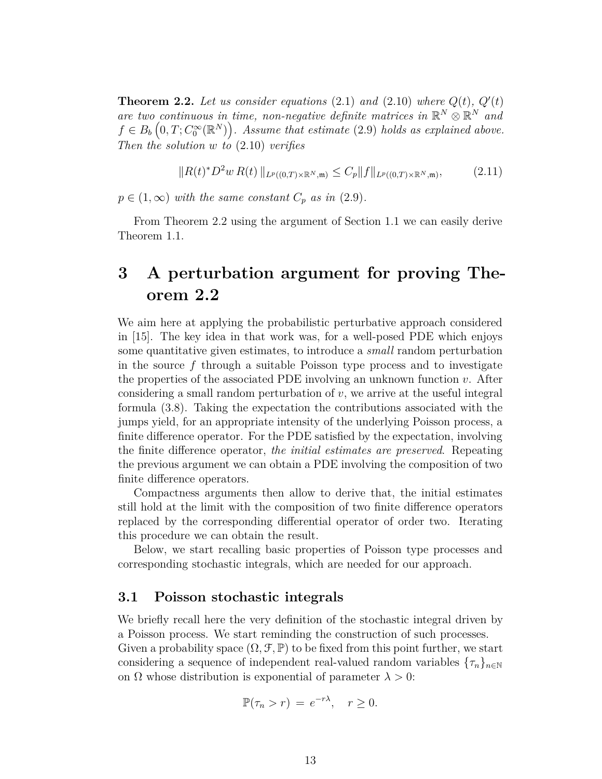<span id="page-12-0"></span>**Theorem 2.2.** Let us consider equations [\(2.1\)](#page-8-3) and [\(2.10\)](#page-11-1) where  $Q(t)$ ,  $Q'(t)$ *are two continuous in time, non-negative definite matrices in*  $\mathbb{R}^N \otimes \mathbb{R}^N$  and  $f \in B_b\left(0, T; C_0^{\infty}(\mathbb{R}^N)\right)$ . Assume that estimate [\(2.9\)](#page-11-0) holds as explained above. *Then the solution w to* [\(2.10\)](#page-11-1) *verifies*

$$
||R(t)^* D^2 w R(t) ||_{L^p((0,T)\times \mathbb{R}^N,\mathfrak{m})} \leq C_p ||f||_{L^p((0,T)\times \mathbb{R}^N,\mathfrak{m})},\tag{2.11}
$$

 $p \in (1, \infty)$  *with the same constant*  $C_p$  *as in* [\(2.9\)](#page-11-0).

From Theorem [2.2](#page-12-0) using the argument of Section 1.1 we can easily derive Theorem [1.1.](#page-4-5)

## **3 A perturbation argument for proving Theorem [2.2](#page-12-0)**

We aim here at applying the probabilistic perturbative approach considered in [\[15\]](#page-24-0). The key idea in that work was, for a well-posed PDE which enjoys some quantitative given estimates, to introduce a *small* random perturbation in the source *f* through a suitable Poisson type process and to investigate the properties of the associated PDE involving an unknown function *v*. After considering a small random perturbation of *v*, we arrive at the useful integral formula [\(3.8\)](#page-14-0). Taking the expectation the contributions associated with the jumps yield, for an appropriate intensity of the underlying Poisson process, a finite difference operator. For the PDE satisfied by the expectation, involving the finite difference operator, *the initial estimates are preserved*. Repeating the previous argument we can obtain a PDE involving the composition of two finite difference operators.

Compactness arguments then allow to derive that, the initial estimates still hold at the limit with the composition of two finite difference operators replaced by the corresponding differential operator of order two. Iterating this procedure we can obtain the result.

Below, we start recalling basic properties of Poisson type processes and corresponding stochastic integrals, which are needed for our approach.

#### **3.1 Poisson stochastic integrals**

We briefly recall here the very definition of the stochastic integral driven by a Poisson process. We start reminding the construction of such processes. Given a probability space  $(\Omega, \mathcal{F}, \mathbb{P})$  to be fixed from this point further, we start considering a sequence of independent real-valued random variables  $\{\tau_n\}_{n\in\mathbb{N}}$ on  $\Omega$  whose distribution is exponential of parameter  $\lambda > 0$ :

$$
\mathbb{P}(\tau_n > r) = e^{-r\lambda}, \quad r \ge 0.
$$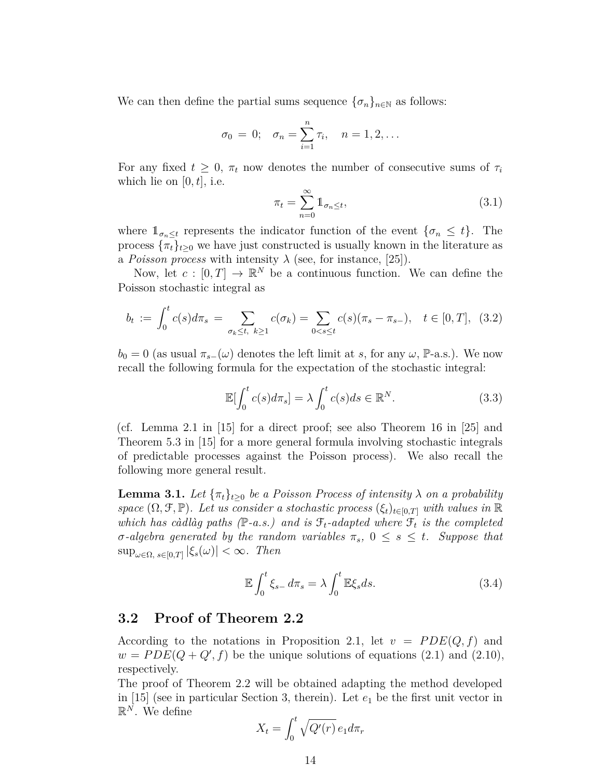We can then define the partial sums sequence  $\{\sigma_n\}_{n\in\mathbb{N}}$  as follows:

$$
\sigma_0 = 0;
$$
  $\sigma_n = \sum_{i=1}^n \tau_i$ ,  $n = 1, 2, ...$ 

For any fixed  $t \geq 0$ ,  $\pi_t$  now denotes the number of consecutive sums of  $\tau_i$ which lie on  $[0, t]$ , i.e.

<span id="page-13-1"></span>
$$
\pi_t = \sum_{n=0}^{\infty} \mathbb{1}_{\sigma_n \le t},\tag{3.1}
$$

where  $1_{\sigma_n \leq t}$  represents the indicator function of the event  $\{\sigma_n \leq t\}$ . The process  $\{\pi_t\}_{t>0}$  we have just constructed is usually known in the literature as a *Poisson process* with intensity  $\lambda$  (see, for instance, [\[25\]](#page-25-5)).

Now, let  $c : [0, T] \to \mathbb{R}^N$  be a continuous function. We can define the Poisson stochastic integral as

$$
b_t := \int_0^t c(s) d\pi_s = \sum_{\sigma_k \le t, \ k \ge 1} c(\sigma_k) = \sum_{0 < s \le t} c(s) (\pi_s - \pi_{s-}), \quad t \in [0, T], \tag{3.2}
$$

 $b_0 = 0$  (as usual  $\pi_{s-}(\omega)$  denotes the left limit at *s*, for any  $\omega$ , P-a.s.). We now recall the following formula for the expectation of the stochastic integral:

$$
\mathbb{E}[\int_0^t c(s)d\pi_s] = \lambda \int_0^t c(s)ds \in \mathbb{R}^N.
$$
 (3.3)

(cf. Lemma 2.1 in [\[15\]](#page-24-0) for a direct proof; see also Theorem 16 in [\[25\]](#page-25-5) and Theorem 5.3 in [\[15\]](#page-24-0) for a more general formula involving stochastic integrals of predictable processes against the Poisson process). We also recall the following more general result.

<span id="page-13-2"></span>**Lemma 3.1.** Let  $\{\pi_t\}_{t>0}$  be a Poisson Process of intensity  $\lambda$  on a probability *space*  $(\Omega, \mathcal{F}, \mathbb{P})$ *. Let us consider a stochastic process*  $(\xi_t)_{t \in [0,T]}$  *with values in*  $\mathbb{R}$ *which has càdlàg paths* ( $\mathbb{P}\text{-}a.s.$ ) and is  $\mathcal{F}_t$ -adapted where  $\mathcal{F}_t$  is the completed  $\sigma$ *-algebra generated by the random variables*  $\pi_s$ ,  $0 \leq s \leq t$ *. Suppose that* sup*ω*∈Ω*, s*∈[0*,T*] |*ξs*(*ω*)| *<* ∞*. Then*

$$
\mathbb{E} \int_0^t \xi_{s-} d\pi_s = \lambda \int_0^t \mathbb{E} \xi_s ds. \tag{3.4}
$$

#### <span id="page-13-0"></span>**3.2 Proof of Theorem [2.2](#page-12-0)**

According to the notations in Proposition [2.1,](#page-8-5) let  $v = PDE(Q, f)$  and  $w = PDE(Q + Q', f)$  be the unique solutions of equations  $(2.1)$  and  $(2.10)$ , respectively.

The proof of Theorem [2.2](#page-12-0) will be obtained adapting the method developed in  $[15]$  (see in particular Section 3, therein). Let  $e_1$  be the first unit vector in  $\mathbb{R}^N$ . We define

$$
X_t = \int_0^t \sqrt{Q'(r)} \, e_1 d\pi_r
$$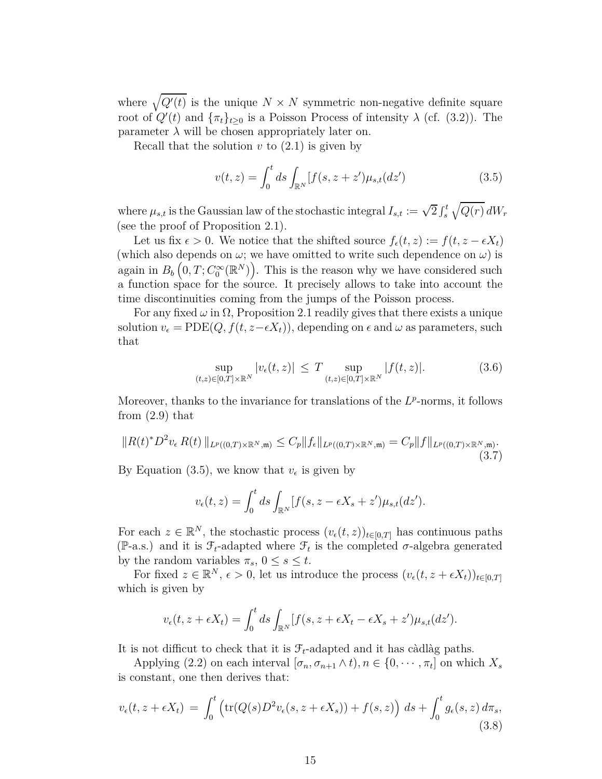where  $\sqrt{Q'(t)}$  is the unique  $N \times N$  symmetric non-negative definite square root of  $Q'(t)$  and  $\{\pi_t\}_{t\geq 0}$  is a Poisson Process of intensity  $\lambda$  (cf. [\(3.2\)](#page-13-1)). The parameter  $\lambda$  will be chosen appropriately later on.

Recall that the solution  $v$  to  $(2.1)$  is given by

<span id="page-14-1"></span>
$$
v(t,z) = \int_0^t ds \int_{\mathbb{R}^N} [f(s, z + z')\mu_{s,t}(dz') \tag{3.5}
$$

where  $\mu_{s,t}$  is the Gaussian law of the stochastic integral  $I_{s,t} := \sqrt{2} \int_s^t \sqrt{Q(r)} \, dW_r$ (see the proof of Proposition [2.1\)](#page-8-5).

Let us fix  $\epsilon > 0$ . We notice that the shifted source  $f_{\epsilon}(t, z) := f(t, z - \epsilon X_t)$ (which also depends on  $\omega$ ; we have omitted to write such dependence on  $\omega$ ) is again in  $B_b(0,T; C_0^{\infty}(\mathbb{R}^N))$ . This is the reason why we have considered such a function space for the source. It precisely allows to take into account the time discontinuities coming from the jumps of the Poisson process.

For any fixed  $\omega$  in  $\Omega$ , Proposition [2.1](#page-8-5) readily gives that there exists a unique solution  $v_{\epsilon} = \text{PDE}(Q, f(t, z - \epsilon X_t))$ , depending on  $\epsilon$  and  $\omega$  as parameters, such that

$$
\sup_{(t,z)\in[0,T]\times\mathbb{R}^N}|v_{\epsilon}(t,z)| \leq T \sup_{(t,z)\in[0,T]\times\mathbb{R}^N}|f(t,z)|. \tag{3.6}
$$

Moreover, thanks to the invariance for translations of the  $L^p$ -norms, it follows from [\(2.9\)](#page-11-0) that

<span id="page-14-2"></span>
$$
||R(t)^* D^2 v_{\epsilon} R(t) ||_{L^p((0,T) \times \mathbb{R}^N, \mathfrak{m})} \leq C_p ||f_{\epsilon}||_{L^p((0,T) \times \mathbb{R}^N, \mathfrak{m})} = C_p ||f||_{L^p((0,T) \times \mathbb{R}^N, \mathfrak{m})}.
$$
\n(3.7)

By Equation [\(3.5\)](#page-14-1), we know that  $v_{\epsilon}$  is given by

$$
v_{\epsilon}(t,z) = \int_0^t ds \int_{\mathbb{R}^N} [f(s, z - \epsilon X_s + z') \mu_{s,t}(dz').
$$

For each  $z \in \mathbb{R}^N$ , the stochastic process  $(v_\epsilon(t, z))_{t \in [0,T]}$  has continuous paths (P-a.s.) and it is  $\mathcal{F}_t$ -adapted where  $\mathcal{F}_t$  is the completed  $\sigma$ -algebra generated by the random variables  $\pi_s$ ,  $0 \leq s \leq t$ .

For fixed  $z \in \mathbb{R}^N$ ,  $\epsilon > 0$ , let us introduce the process  $(v_{\epsilon}(t, z + \epsilon X_t))_{t \in [0,T]}$ which is given by

$$
v_{\epsilon}(t, z + \epsilon X_t) = \int_0^t ds \int_{\mathbb{R}^N} [f(s, z + \epsilon X_t - \epsilon X_s + z') \mu_{s,t}(dz').
$$

It is not difficut to check that it is  $\mathcal{F}_t$ -adapted and it has càdlàg paths.

Applying [\(2.2\)](#page-8-4) on each interval  $[\sigma_n, \sigma_{n+1} \wedge t)$ ,  $n \in \{0, \dots, \pi_t\}$  on which  $X_s$ is constant, one then derives that:

<span id="page-14-0"></span>
$$
v_{\epsilon}(t, z + \epsilon X_t) = \int_0^t \left( \text{tr}(Q(s)D^2 v_{\epsilon}(s, z + \epsilon X_s)) + f(s, z) \right) ds + \int_0^t g_{\epsilon}(s, z) d\pi_s,
$$
\n(3.8)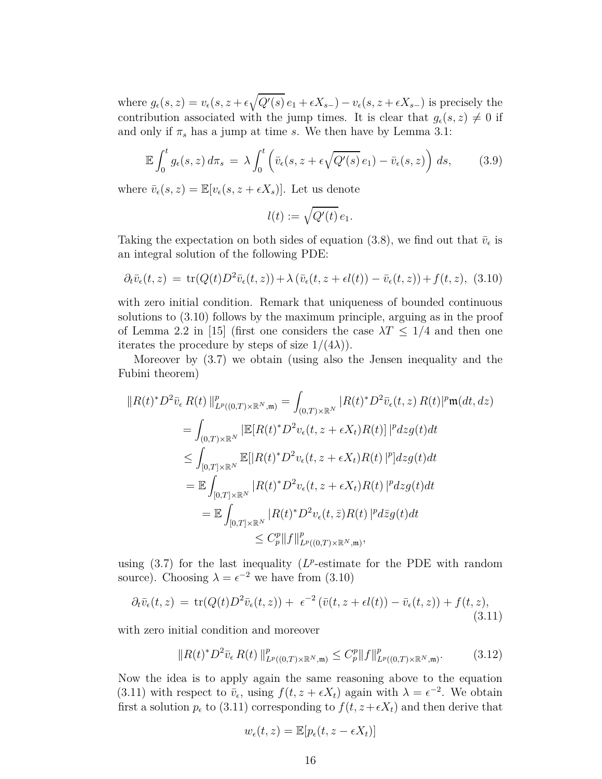where  $g_{\epsilon}(s, z) = v_{\epsilon}(s, z + \epsilon \sqrt{Q'(s)} e_1 + \epsilon X_{s-}) - v_{\epsilon}(s, z + \epsilon X_{s-})$  is precisely the contribution associated with the jump times. It is clear that  $g_{\epsilon}(s, z) \neq 0$  if and only if  $\pi_s$  has a jump at time *s*. We then have by Lemma [3.1:](#page-13-2)

$$
\mathbb{E}\int_0^t g_\epsilon(s,z)\,d\pi_s\,=\,\lambda\int_0^t \left(\bar{v}_\epsilon(s,z+\epsilon\sqrt{Q'(s)}\,e_1)-\bar{v}_\epsilon(s,z)\right)\,ds,\qquad(3.9)
$$

where  $\bar{v}_{\epsilon}(s, z) = \mathbb{E}[v_{\epsilon}(s, z + \epsilon X_s)].$  Let us denote

$$
l(t) := \sqrt{Q'(t)} e_1.
$$

Taking the expectation on both sides of equation [\(3.8\)](#page-14-0), we find out that  $\bar{v}_{\epsilon}$  is an integral solution of the following PDE:

<span id="page-15-0"></span>
$$
\partial_t \bar{v}_\epsilon(t,z) = \text{tr}(Q(t)D^2 \bar{v}_\epsilon(t,z)) + \lambda (\bar{v}_\epsilon(t,z + \epsilon l(t)) - \bar{v}_\epsilon(t,z)) + f(t,z), \tag{3.10}
$$

with zero initial condition. Remark that uniqueness of bounded continuous solutions to [\(3.10\)](#page-15-0) follows by the maximum principle, arguing as in the proof of Lemma 2.2 in [\[15\]](#page-24-0) (first one considers the case  $\lambda T \leq 1/4$  and then one iterates the procedure by steps of size  $1/(4\lambda)$ .

Moreover by [\(3.7\)](#page-14-2) we obtain (using also the Jensen inequality and the Fubini theorem)

$$
||R(t)^* D^2 \bar{v}_{\epsilon} R(t) ||_{L^p((0,T)\times \mathbb{R}^N, \mathfrak{m})}^p = \int_{(0,T)\times \mathbb{R}^N} |R(t)^* D^2 \bar{v}_{\epsilon}(t, z) R(t)|^p \mathfrak{m}(dt, dz)
$$
  
\n
$$
= \int_{(0,T)\times \mathbb{R}^N} |\mathbb{E}[R(t)^* D^2 v_{\epsilon}(t, z + \epsilon X_t) R(t)]|^p dz g(t) dt
$$
  
\n
$$
\leq \int_{[0,T]\times \mathbb{R}^N} \mathbb{E}[|R(t)^* D^2 v_{\epsilon}(t, z + \epsilon X_t) R(t)|^p] dz g(t) dt
$$
  
\n
$$
= \mathbb{E} \int_{[0,T]\times \mathbb{R}^N} |R(t)^* D^2 v_{\epsilon}(t, z + \epsilon X_t) R(t)|^p dz g(t) dt
$$
  
\n
$$
= \mathbb{E} \int_{[0,T]\times \mathbb{R}^N} |R(t)^* D^2 v_{\epsilon}(t, \bar{z}) R(t)|^p d\bar{z} g(t) dt
$$
  
\n
$$
\leq C_p^p ||f||_{L^p((0,T)\times \mathbb{R}^N, \mathfrak{m})}^p,
$$

using  $(3.7)$  for the last inequality  $(L^p\text{-estimate for the PDE with random})$ source). Choosing  $\lambda = \epsilon^{-2}$  we have from [\(3.10\)](#page-15-0)

<span id="page-15-1"></span>
$$
\partial_t \bar{v}_{\epsilon}(t,z) = \text{tr}(Q(t)D^2 \bar{v}_{\epsilon}(t,z)) + \epsilon^{-2} \left( \bar{v}(t,z + \epsilon l(t)) - \bar{v}_{\epsilon}(t,z) \right) + f(t,z), \tag{3.11}
$$

with zero initial condition and moreover

$$
||R(t)^* D^2 \bar{v}_{\epsilon} R(t) ||^p_{L^p((0,T)\times \mathbb{R}^N,\mathfrak{m})} \leq C_p^p ||f||^p_{L^p((0,T)\times \mathbb{R}^N,\mathfrak{m})}.
$$
 (3.12)

Now the idea is to apply again the same reasoning above to the equation [\(3.11\)](#page-15-1) with respect to  $\bar{v}_{\epsilon}$ , using  $f(t, z + \epsilon X_t)$  again with  $\lambda = \epsilon^{-2}$ . We obtain first a solution  $p_{\epsilon}$  to [\(3.11\)](#page-15-1) corresponding to  $f(t, z+\epsilon X_t)$  and then derive that

$$
w_{\epsilon}(t,z) = \mathbb{E}[p_{\epsilon}(t,z-\epsilon X_t)]
$$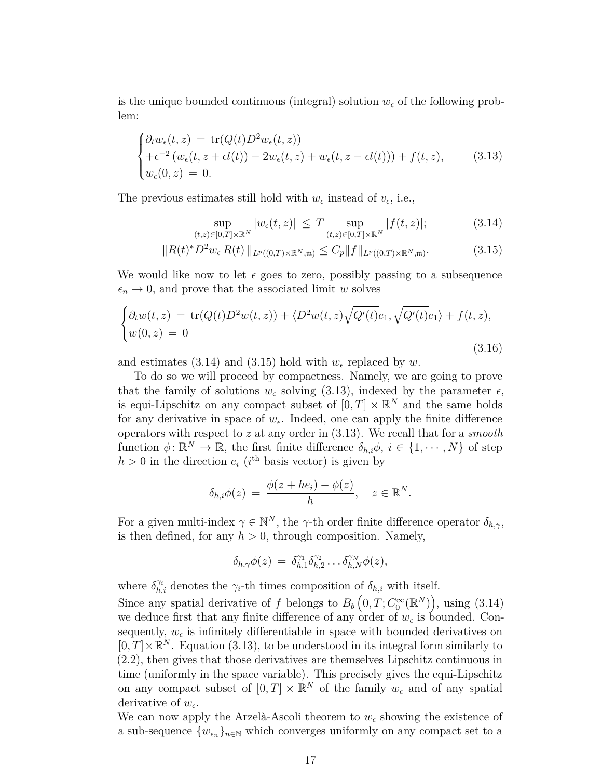is the unique bounded continuous (integral) solution  $w_{\epsilon}$  of the following problem:

<span id="page-16-2"></span>
$$
\begin{cases} \partial_t w_{\epsilon}(t,z) = \text{tr}(Q(t)D^2 w_{\epsilon}(t,z)) \\ + \epsilon^{-2} (w_{\epsilon}(t,z + \epsilon l(t)) - 2w_{\epsilon}(t,z) + w_{\epsilon}(t,z - \epsilon l(t))) + f(t,z), \\ w_{\epsilon}(0,z) = 0. \end{cases}
$$
(3.13)

The previous estimates still hold with  $w_{\epsilon}$  instead of  $v_{\epsilon}$ , i.e.,

<span id="page-16-1"></span><span id="page-16-0"></span>
$$
\sup_{(t,z)\in[0,T]\times\mathbb{R}^N}|w_{\epsilon}(t,z)| \leq T \sup_{(t,z)\in[0,T]\times\mathbb{R}^N}|f(t,z)|;\tag{3.14}
$$

$$
||R(t)^* D^2 w_{\epsilon} R(t) ||_{L^p((0,T)\times \mathbb{R}^N,\mathfrak{m})} \leq C_p ||f||_{L^p((0,T)\times \mathbb{R}^N,\mathfrak{m})}.
$$
 (3.15)

We would like now to let  $\epsilon$  goes to zero, possibly passing to a subsequence  $\epsilon_n \to 0$ , and prove that the associated limit *w* solves

<span id="page-16-3"></span>
$$
\begin{cases}\n\partial_t w(t,z) = \text{tr}(Q(t)D^2w(t,z)) + \langle D^2w(t,z)\sqrt{Q'(t)}e_1, \sqrt{Q'(t)}e_1 \rangle + f(t,z), \\
w(0,z) = 0\n\end{cases}
$$
\n(3.16)

and estimates [\(3.14\)](#page-16-0) and [\(3.15\)](#page-16-1) hold with  $w_{\epsilon}$  replaced by  $w$ .

To do so we will proceed by compactness. Namely, we are going to prove that the family of solutions  $w_{\epsilon}$  solving [\(3.13\)](#page-16-2), indexed by the parameter  $\epsilon$ , is equi-Lipschitz on any compact subset of  $[0, T] \times \mathbb{R}^N$  and the same holds for any derivative in space of  $w_{\epsilon}$ . Indeed, one can apply the finite difference operators with respect to *z* at any order in [\(3.13\)](#page-16-2). We recall that for a *smooth* function  $\phi: \mathbb{R}^N \to \mathbb{R}$ , the first finite difference  $\delta_{h,i}\phi$ ,  $i \in \{1, \dots, N\}$  of step  $h > 0$  in the direction  $e_i$  (*i*<sup>th</sup> basis vector) is given by

$$
\delta_{h,i}\phi(z) = \frac{\phi(z + he_i) - \phi(z)}{h}, \quad z \in \mathbb{R}^N.
$$

For a given multi-index  $\gamma \in \mathbb{N}^N$ , the *γ*-th order finite difference operator  $\delta_{h,\gamma}$ , is then defined, for any  $h > 0$ , through composition. Namely,

$$
\delta_{h,\gamma}\phi(z) = \delta_{h,1}^{\gamma_1} \delta_{h,2}^{\gamma_2} \dots \delta_{h,N}^{\gamma_N} \phi(z),
$$

where  $\delta_{h,i}^{\gamma_i}$  denotes the  $\gamma_i$ -th times composition of  $\delta_{h,i}$  with itself.

Since any spatial derivative of *f* belongs to  $B_b(0,T; C_0^{\infty}(\mathbb{R}^N))$ , using [\(3.14\)](#page-16-0) we deduce first that any finite difference of any order of  $w_{\epsilon}$  is bounded. Consequently,  $w_{\epsilon}$  is infinitely differentiable in space with bounded derivatives on  $[0, T] \times \mathbb{R}^N$ . Equation [\(3.13\)](#page-16-2), to be understood in its integral form similarly to [\(2.2\)](#page-8-4), then gives that those derivatives are themselves Lipschitz continuous in time (uniformly in the space variable). This precisely gives the equi-Lipschitz on any compact subset of  $[0, T] \times \mathbb{R}^N$  of the family  $w_{\epsilon}$  and of any spatial derivative of  $w_{\epsilon}$ .

We can now apply the Arzelà-Ascoli theorem to  $w_{\epsilon}$  showing the existence of a sub-sequence  $\{w_{\epsilon_n}\}_{n\in\mathbb{N}}$  which converges uniformly on any compact set to a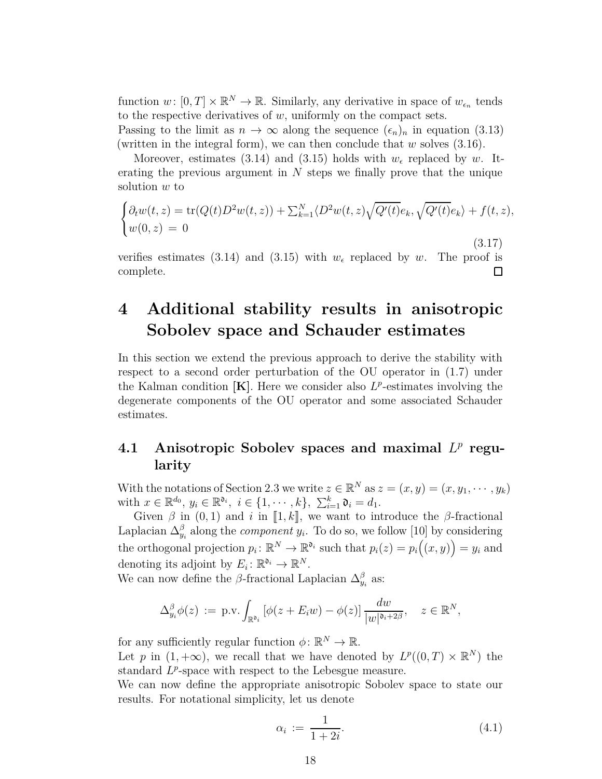function  $w: [0, T] \times \mathbb{R}^N \to \mathbb{R}$ . Similarly, any derivative in space of  $w_{\epsilon_n}$  tends to the respective derivatives of  $w$ , uniformly on the compact sets.

Passing to the limit as  $n \to \infty$  along the sequence  $(\epsilon_n)_n$  in equation [\(3.13\)](#page-16-2) (written in the integral form), we can then conclude that *w* solves [\(3.16\)](#page-16-3).

Moreover, estimates [\(3.14\)](#page-16-0) and [\(3.15\)](#page-16-1) holds with  $w_{\epsilon}$  replaced by *w*. Iterating the previous argument in *N* steps we finally prove that the unique solution *w* to

$$
\begin{cases} \partial_t w(t,z) = \text{tr}(Q(t)D^2w(t,z)) + \sum_{k=1}^N \langle D^2w(t,z)\sqrt{Q'(t)}e_k, \sqrt{Q'(t)}e_k \rangle + f(t,z), \\ w(0,z) = 0 \end{cases}
$$

(3.17) verifies estimates [\(3.14\)](#page-16-0) and [\(3.15\)](#page-16-1) with  $w_{\epsilon}$  replaced by *w*. The proof is complete. □

## <span id="page-17-0"></span>**4 Additional stability results in anisotropic Sobolev space and Schauder estimates**

In this section we extend the previous approach to derive the stability with respect to a second order perturbation of the OU operator in [\(1.7\)](#page-3-1) under the Kalman condition  $[K]$ . Here we consider also  $L^p$ -estimates involving the degenerate components of the OU operator and some associated Schauder estimates.

## 4.1 Anisotropic Sobolev spaces and maximal  $L^p$  regu**larity**

With the notations of Section [2.3](#page-10-0) we write  $z \in \mathbb{R}^N$  as  $z = (x, y) = (x, y_1, \dots, y_k)$ with  $x \in \mathbb{R}^{d_0}$ ,  $y_i \in \mathbb{R}^{d_i}$ ,  $i \in \{1, \dots, k\}$ ,  $\sum_{i=1}^k \mathfrak{d}_i = d_1$ .

Given  $\beta$  in  $(0, 1)$  and *i* in [1, k], we want to introduce the  $\beta$ -fractional Laplacian  $\Delta_{y_i}^{\beta}$  along the *component*  $y_i$ . To do so, we follow [\[10\]](#page-24-4) by considering the orthogonal projection  $p_i: \mathbb{R}^N \to \mathbb{R}^{\mathfrak{d}_i}$  such that  $p_i(z) = p_i((x, y)) = y_i$  and denoting its adjoint by  $E_i: \mathbb{R}^{a_i} \to \mathbb{R}^N$ .

We can now define the  $\beta$ -fractional Laplacian  $\Delta_{y_i}^{\beta}$  as:

$$
\Delta_{y_i}^{\beta} \phi(z) := \text{p.v.} \int_{\mathbb{R}^{\mathfrak{d}_i}} \left[ \phi(z + E_i w) - \phi(z) \right] \frac{dw}{|w|^{\mathfrak{d}_i + 2\beta}}, \quad z \in \mathbb{R}^N,
$$

for any sufficiently regular function  $\phi \colon \mathbb{R}^N \to \mathbb{R}$ .

Let *p* in  $(1, +\infty)$ , we recall that we have denoted by  $L^p((0, T) \times \mathbb{R}^N)$  the standard  $L^p$ -space with respect to the Lebesgue measure.

We can now define the appropriate anisotropic Sobolev space to state our results. For notational simplicity, let us denote

<span id="page-17-1"></span>
$$
\alpha_i := \frac{1}{1+2i}.\tag{4.1}
$$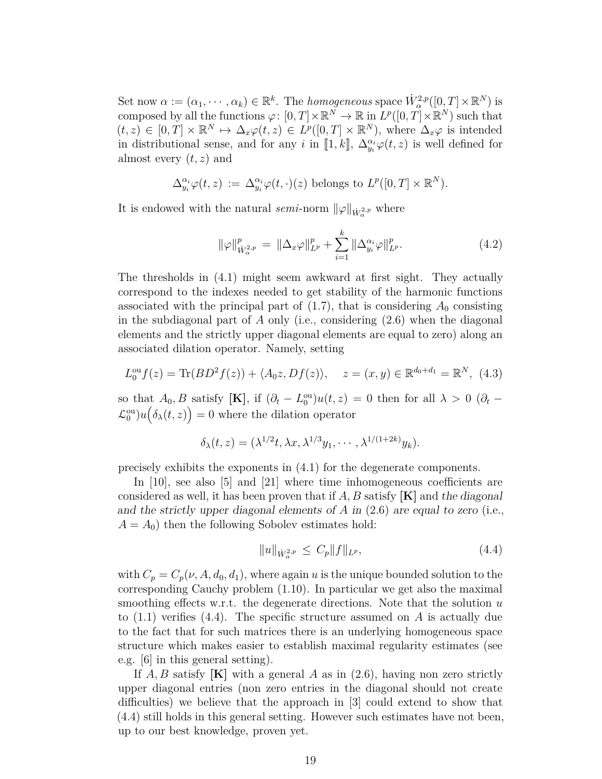Set now  $\alpha := (\alpha_1, \dots, \alpha_k) \in \mathbb{R}^k$ . The *homogeneous* space  $W^{2,p}_{\alpha}([0,T] \times \mathbb{R}^N)$  is composed by all the functions  $\varphi: [0, T] \times \mathbb{R}^N \to \mathbb{R}$  in  $L^p([0, T] \times \mathbb{R}^N)$  such that  $(t, z) \in [0, T] \times \mathbb{R}^N \mapsto \Delta_x \varphi(t, z) \in L^p([0, T] \times \mathbb{R}^N)$ , where  $\Delta_x \varphi$  is intended in distributional sense, and for any *i* in [1, k],  $\Delta_{y_i}^{\alpha_i} \varphi(t, z)$  is well defined for almost every (*t, z*) and

$$
\Delta_{y_i}^{\alpha_i} \varphi(t, z) := \Delta_{y_i}^{\alpha_i} \varphi(t, \cdot)(z) \text{ belongs to } L^p([0, T] \times \mathbb{R}^N).
$$

It is endowed with the natural *semi*-norm  $\|\varphi\|_{\dot{W}^{2,p}_{\alpha}}$  where

<span id="page-18-1"></span>
$$
\|\varphi\|_{\dot{W}_{\alpha}^{2,p}}^p = \|\Delta_x \varphi\|_{L^p}^p + \sum_{i=1}^k \|\Delta_{y_i}^{\alpha_i} \varphi\|_{L^p}^p. \tag{4.2}
$$

The thresholds in [\(4.1\)](#page-17-1) might seem awkward at first sight. They actually correspond to the indexes needed to get stability of the harmonic functions associated with the principal part of  $(1.7)$ , that is considering  $A_0$  consisting in the subdiagonal part of *A* only (i.e., considering [\(2.6\)](#page-10-4) when the diagonal elements and the strictly upper diagonal elements are equal to zero) along an associated dilation operator. Namely, setting

$$
L_0^{\text{ou}} f(z) = \text{Tr}(BD^2 f(z)) + \langle A_0 z, Df(z) \rangle, \quad z = (x, y) \in \mathbb{R}^{d_0 + d_1} = \mathbb{R}^N, \tag{4.3}
$$

so that  $A_0$ ,  $B$  satisfy [K], if  $(\partial_t - L_0^{\text{ou}})u(t, z) = 0$  then for all  $\lambda > 0$  ( $\partial_t$  –  $\mathcal{L}_0^{\text{ou}}\big)u\big(\delta_\lambda(t,z)\big) = 0$  where the dilation operator

$$
\delta_{\lambda}(t,z)=(\lambda^{1/2}t,\lambda x,\lambda^{1/3}y_1,\cdots,\lambda^{1/(1+2k)}y_k).
$$

precisely exhibits the exponents in [\(4.1\)](#page-17-1) for the degenerate components.

In [\[10\]](#page-24-4), see also [\[5\]](#page-23-3) and [\[21\]](#page-25-6) where time inhomogeneous coefficients are considered as well, it has been proven that if *A, B* satisfy **[K]** and the diagonal and the strictly upper diagonal elements of *A* in [\(2.6\)](#page-10-4) are equal to zero (i.e.,  $A = A_0$ ) then the following Sobolev estimates hold:

<span id="page-18-0"></span>
$$
||u||_{\dot{W}^{2,p}_{\alpha}} \le C_p ||f||_{L^p}, \tag{4.4}
$$

with  $C_p = C_p(\nu, A, d_0, d_1)$ , where again *u* is the unique bounded solution to the corresponding Cauchy problem [\(1.10\)](#page-3-0). In particular we get also the maximal smoothing effects w.r.t. the degenerate directions. Note that the solution *u* to [\(1.1\)](#page-1-0) verifies [\(4.4\)](#page-18-0). The specific structure assumed on *A* is actually due to the fact that for such matrices there is an underlying homogeneous space structure which makes easier to establish maximal regularity estimates (see e.g. [\[6\]](#page-24-12) in this general setting).

If *A, B* satisfy **[K]** with a general *A* as in [\(2.6\)](#page-10-4), having non zero strictly upper diagonal entries (non zero entries in the diagonal should not create difficulties) we believe that the approach in [\[3\]](#page-23-1) could extend to show that [\(4.4\)](#page-18-0) still holds in this general setting. However such estimates have not been, up to our best knowledge, proven yet.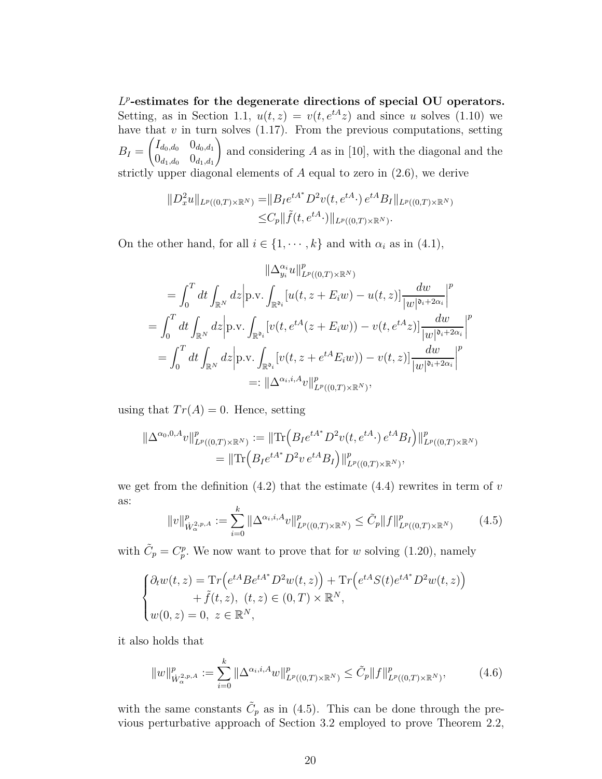*L p* **-estimates for the degenerate directions of special OU operators.** Setting, as in Section [1.1,](#page-5-3)  $u(t, z) = v(t, e^{tA}z)$  and since *u* solves [\(1.10\)](#page-3-0) we have that  $v$  in turn solves  $(1.17)$ . From the previous computations, setting  $B_I =$  $\int I_{d_0,d_0}$  0*d*<sub>0</sub>*,d*<sub>1</sub>  $0_{d_1, d_0}$   $0_{d_1, d_1}$  $\setminus$ and considering *A* as in [\[10\]](#page-24-4), with the diagonal and the strictly upper diagonal elements of *A* equal to zero in [\(2.6\)](#page-10-4), we derive

$$
||D_x^2 u||_{L^p((0,T)\times \mathbb{R}^N)} = ||B_I e^{tA^*} D^2 v(t, e^{tA} \cdot) e^{tA} B_I||_{L^p((0,T)\times \mathbb{R}^N)}
$$
  
 
$$
\leq C_p ||\tilde{f}(t, e^{tA} \cdot)||_{L^p((0,T)\times \mathbb{R}^N)}.
$$

On the other hand, for all  $i \in \{1, \dots, k\}$  and with  $\alpha_i$  as in [\(4.1\)](#page-17-1),

$$
\|\Delta_{y_i}^{\alpha_i}u\|_{L^p((0,T)\times\mathbb{R}^N)}^p
$$
\n
$$
= \int_0^T dt \int_{\mathbb{R}^N} dz \Big| \text{p.v.} \int_{\mathbb{R}^{\mathfrak{d}_i}} [u(t, z + E_i w) - u(t, z)] \frac{dw}{|w|^{\mathfrak{d}_i + 2\alpha_i}} \Big|^p
$$
\n
$$
= \int_0^T dt \int_{\mathbb{R}^N} dz \Big| \text{p.v.} \int_{\mathbb{R}^{\mathfrak{d}_i}} [v(t, e^{tA}(z + E_i w)) - v(t, e^{tA}z)] \frac{dw}{|w|^{\mathfrak{d}_i + 2\alpha_i}} \Big|^p
$$
\n
$$
= \int_0^T dt \int_{\mathbb{R}^N} dz \Big| \text{p.v.} \int_{\mathbb{R}^{\mathfrak{d}_i}} [v(t, z + e^{tA} E_i w)) - v(t, z)] \frac{dw}{|w|^{\mathfrak{d}_i + 2\alpha_i}} \Big|^p
$$
\n
$$
=: \|\Delta^{\alpha_i, i, A}v\|_{L^p((0,T)\times\mathbb{R}^N)}^p,
$$

using that  $Tr(A) = 0$ . Hence, setting

$$
\|\Delta^{\alpha_0,0,A}v\|_{L^p((0,T)\times\mathbb{R}^N)}^p := \|\text{Tr}\left(B_I e^{tA^*} D^2 v(t,e^{tA}\cdot) e^{tA} B_I\right)\|_{L^p((0,T)\times\mathbb{R}^N)}^p
$$
  
= 
$$
\|\text{Tr}\left(B_I e^{tA^*} D^2 v e^{tA} B_I\right)\|_{L^p((0,T)\times\mathbb{R}^N)}^p,
$$

we get from the definition  $(4.2)$  that the estimate  $(4.4)$  rewrites in term of  $v$ as:

<span id="page-19-0"></span>
$$
||v||_{\dot{W}^{2,p,A}_{\alpha}}^p := \sum_{i=0}^k ||\Delta^{\alpha_i,i,A}v||_{L^p((0,T)\times\mathbb{R}^N)}^p \leq \tilde{C}_p ||f||_{L^p((0,T)\times\mathbb{R}^N)}^p \tag{4.5}
$$

with  $\tilde{C}_p = C_p^p$ . We now want to prove that for *w* solving [\(1.20\)](#page-6-0), namely

$$
\begin{cases} \partial_t w(t,z) = \mathrm{Tr} \Big( e^{tA} B e^{tA^*} D^2 w(t,z) \Big) + \mathrm{Tr} \Big( e^{tA} S(t) e^{tA^*} D^2 w(t,z) \Big) \\qquad \qquad + \tilde{f}(t,z), \ (t,z) \in (0,T) \times \mathbb{R}^N, \\ w(0,z) = 0, \ z \in \mathbb{R}^N, \end{cases}
$$

it also holds that

<span id="page-19-1"></span>
$$
||w||_{\dot{W}^{2,p,A}_{\alpha}}^p := \sum_{i=0}^k ||\Delta^{\alpha_i,i,A}w||_{L^p((0,T)\times\mathbb{R}^N)}^p \leq \tilde{C}_p ||f||_{L^p((0,T)\times\mathbb{R}^N)}^p, \tag{4.6}
$$

with the same constants  $\tilde{C}_p$  as in [\(4.5\)](#page-19-0). This can be done through the previous perturbative approach of Section [3.2](#page-13-0) employed to prove Theorem [2.2,](#page-12-0)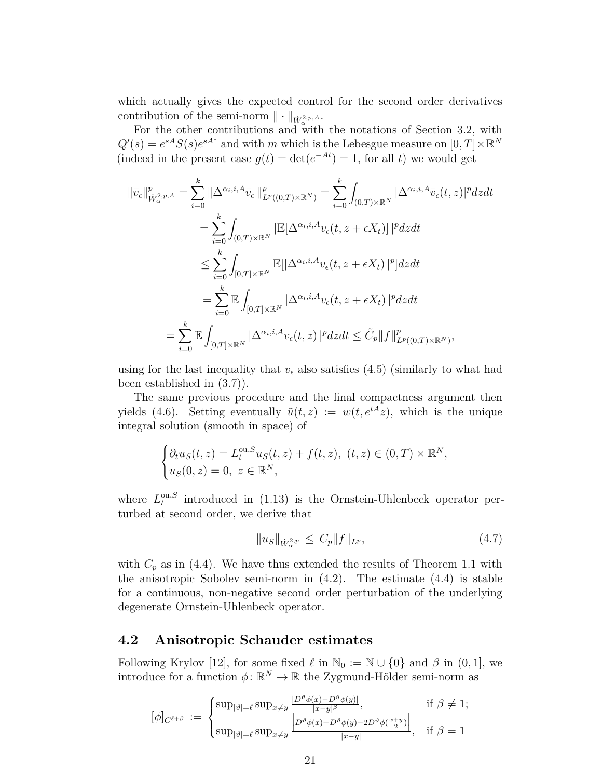which actually gives the expected control for the second order derivatives contribution of the semi-norm  $\|\cdot\|_{\dot{W}^{2,p,A}_{\alpha}}$ .

For the other contributions and with the notations of Section [3.2,](#page-13-0) with  $Q'(s) = e^{sA}S(s)e^{sA^*}$  and with *m* which is the Lebesgue measure on  $[0, T] \times \mathbb{R}^N$ (indeed in the present case  $g(t) = \det(e^{-At}) = 1$ , for all *t*) we would get

$$
\begin{split}\n\|\bar{v}_{\epsilon}\|_{\dot{W}_{\alpha}^{2,p,A}}^{p} &= \sum_{i=0}^{k} \|\Delta^{\alpha_{i},i,A}\bar{v}_{\epsilon}\|_{L^{p}((0,T)\times\mathbb{R}^{N})}^{p} = \sum_{i=0}^{k} \int_{(0,T)\times\mathbb{R}^{N}} |\Delta^{\alpha_{i},i,A}\bar{v}_{\epsilon}(t,z)|^{p}dzdt \\
&= \sum_{i=0}^{k} \int_{(0,T)\times\mathbb{R}^{N}} |\mathbb{E}[\Delta^{\alpha_{i},i,A}v_{\epsilon}(t,z+\epsilon X_{t})]|^{p}dzdt \\
&\leq \sum_{i=0}^{k} \int_{[0,T]\times\mathbb{R}^{N}} \mathbb{E}[|\Delta^{\alpha_{i},i,A}v_{\epsilon}(t,z+\epsilon X_{t})|^{p}]dzdt \\
&= \sum_{i=0}^{k} \mathbb{E} \int_{[0,T]\times\mathbb{R}^{N}} |\Delta^{\alpha_{i},i,A}v_{\epsilon}(t,z+\epsilon X_{t})|^{p}dzdt \\
&= \sum_{i=0}^{k} \mathbb{E} \int_{[0,T]\times\mathbb{R}^{N}} |\Delta^{\alpha_{i},i,A}v_{\epsilon}(t,\bar{z})|^{p}d\bar{z}dt \leq \tilde{C}_{p}||f||_{L^{p}((0,T)\times\mathbb{R}^{N})}^{p},\n\end{split}
$$

using for the last inequality that  $v_{\epsilon}$  also satisfies [\(4.5\)](#page-19-0) (similarly to what had been established in [\(3.7\)](#page-14-2)).

The same previous procedure and the final compactness argument then yields [\(4.6\)](#page-19-1). Setting eventually  $\tilde{u}(t, z) := w(t, e^{tA}z)$ , which is the unique integral solution (smooth in space) of

$$
\begin{cases} \partial_t u_S(t,z) = L_t^{\text{ou},S} u_S(t,z) + f(t,z), & (t,z) \in (0,T) \times \mathbb{R}^N, \\ u_S(0,z) = 0, & z \in \mathbb{R}^N, \end{cases}
$$

where  $L_t^{\text{ou},S}$  $t_t^{\text{out},\text{S}}$  introduced in  $(1.13)$  is the Ornstein-Uhlenbeck operator perturbed at second order, we derive that

$$
||u_S||_{\dot{W}^{2,p}_{\alpha}} \le C_p ||f||_{L^p}, \tag{4.7}
$$

with  $C_p$  as in [\(4.4\)](#page-18-0). We have thus extended the results of Theorem [1.1](#page-4-5) with the anisotropic Sobolev semi-norm in  $(4.2)$ . The estimate  $(4.4)$  is stable for a continuous, non-negative second order perturbation of the underlying degenerate Ornstein-Uhlenbeck operator.

### **4.2 Anisotropic Schauder estimates**

Following Krylov [\[12\]](#page-24-13), for some fixed  $\ell$  in  $\mathbb{N}_0 := \mathbb{N} \cup \{0\}$  and  $\beta$  in  $(0, 1]$ , we introduce for a function  $\phi \colon \mathbb{R}^N \to \mathbb{R}$  the Zygmund-Hölder semi-norm as

$$
[\phi]_{C^{\ell+\beta}} := \begin{cases} \sup_{|\vartheta|=\ell} \sup_{x\neq y} \frac{|D^{\vartheta}\phi(x)-D^{\vartheta}\phi(y)|}{|x-y|^{\beta}}, & \text{if } \beta \neq 1; \\ \sup_{|\vartheta|=\ell} \sup_{x\neq y} \frac{|D^{\vartheta}\phi(x)+D^{\vartheta}\phi(y)-2D^{\vartheta}\phi(\frac{x+y}{2})|}{|x-y|}, & \text{if } \beta = 1 \end{cases}
$$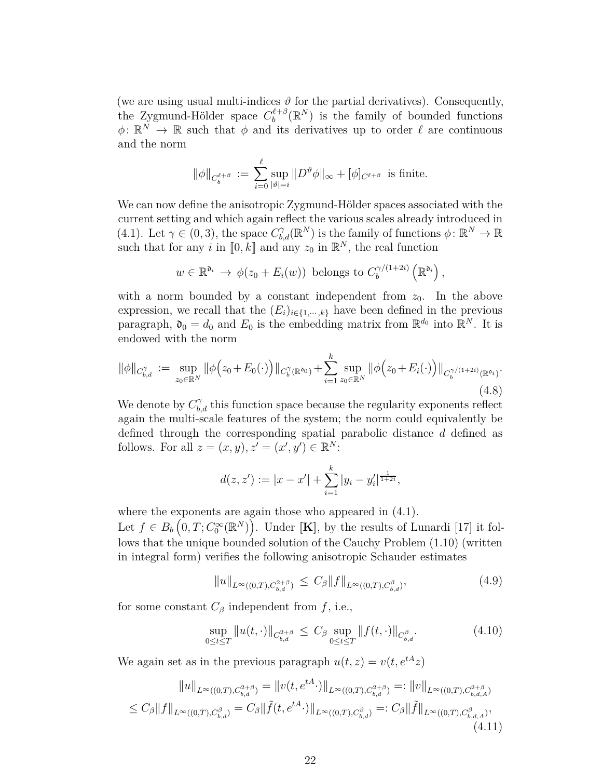(we are using usual multi-indices  $\vartheta$  for the partial derivatives). Consequently, the Zygmund-Hölder space  $C_b^{\ell+\beta}$  $b^{\ell+\beta}_b(\mathbb{R}^N)$  is the family of bounded functions  $\phi \colon \mathbb{R}^N \to \mathbb{R}$  such that  $\phi$  and its derivatives up to order  $\ell$  are continuous and the norm

$$
\|\phi\|_{C_b^{\ell+\beta}} := \sum_{i=0}^{\ell} \sup_{|\vartheta|=i} \|D^{\vartheta}\phi\|_{\infty} + [\phi]_{C^{\ell+\beta}} \text{ is finite.}
$$

We can now define the anisotropic Zygmund-Hölder spaces associated with the current setting and which again reflect the various scales already introduced in [\(4.1\)](#page-17-1). Let  $\gamma \in (0,3)$ , the space  $C_{b,d}^{\gamma}(\mathbb{R}^N)$  is the family of functions  $\phi \colon \mathbb{R}^N \to \mathbb{R}$ such that for any *i* in  $[0, k]$  and any  $z_0$  in  $\mathbb{R}^N$ , the real function

$$
w \in \mathbb{R}^{\mathfrak{d}_i} \to \phi(z_0 + E_i(w))
$$
 belongs to  $C_b^{\gamma/(1+2i)}(\mathbb{R}^{\mathfrak{d}_i})$ ,

with a norm bounded by a constant independent from  $z_0$ . In the above expression, we recall that the  $(E_i)_{i \in \{1, \dots, k\}}$  have been defined in the previous paragraph,  $\mathfrak{d}_0 = d_0$  and  $E_0$  is the embedding matrix from  $\mathbb{R}^{d_0}$  into  $\mathbb{R}^N$ . It is endowed with the norm

<span id="page-21-1"></span>
$$
\|\phi\|_{C_{b,d}^{\gamma}} := \sup_{z_0 \in \mathbb{R}^N} \|\phi(z_0 + E_0(\cdot))\|_{C_b^{\gamma}(\mathbb{R}^{\mathfrak{d}_0})} + \sum_{i=1}^k \sup_{z_0 \in \mathbb{R}^N} \|\phi(z_0 + E_i(\cdot))\|_{C_b^{\gamma/(1+2i)}(\mathbb{R}^{\mathfrak{d}_i})}.
$$
\n(4.8)

We denote by  $C_{b,d}^{\gamma}$  this function space because the regularity exponents reflect again the multi-scale features of the system; the norm could equivalently be defined through the corresponding spatial parabolic distance *d* defined as follows. For all  $z = (x, y), z' = (x', y') \in \mathbb{R}^N$ :

$$
d(z, z') := |x - x'| + \sum_{i=1}^{k} |y_i - y'_i|^{\frac{1}{1+2i}},
$$

where the exponents are again those who appeared in  $(4.1)$ .

Let  $f \in B_b\left(0, T; C_0^\infty(\mathbb{R}^N)\right)$ . Under [**K**], by the results of Lunardi [\[17\]](#page-24-5) it follows that the unique bounded solution of the Cauchy Problem [\(1.10\)](#page-3-0) (written in integral form) verifies the following anisotropic Schauder estimates

<span id="page-21-2"></span>
$$
||u||_{L^{\infty}((0,T),C^{2+\beta}_{b,d})} \leq C_{\beta} ||f||_{L^{\infty}((0,T),C^{\beta}_{b,d})}, \tag{4.9}
$$

for some constant  $C_\beta$  independent from  $f$ , i.e.,

<span id="page-21-0"></span>
$$
\sup_{0 \le t \le T} \|u(t, \cdot)\|_{C_{b,d}^{2+\beta}} \le C_{\beta} \sup_{0 \le t \le T} \|f(t, \cdot)\|_{C_{b,d}^{\beta}}.
$$
\n(4.10)

We again set as in the previous paragraph  $u(t, z) = v(t, e^{tA}z)$ 

$$
||u||_{L^{\infty}((0,T),C_{b,d}^{2+\beta})} = ||v(t,e^{tA}\cdot)||_{L^{\infty}((0,T),C_{b,d}^{2+\beta})} =: ||v||_{L^{\infty}((0,T),C_{b,d,A}^{2+\beta})}
$$
  
\n
$$
\leq C_{\beta} ||f||_{L^{\infty}((0,T),C_{b,d}^{\beta})} = C_{\beta} ||\tilde{f}(t,e^{tA}\cdot)||_{L^{\infty}((0,T),C_{b,d}^{\beta})} =: C_{\beta} ||\tilde{f}||_{L^{\infty}((0,T),C_{b,d,A}^{\beta})},
$$
  
\n(4.11)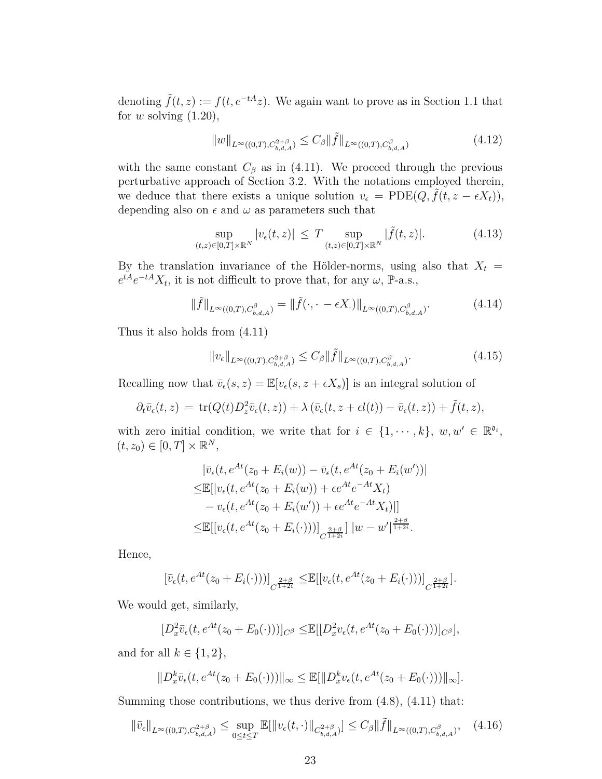denoting  $\tilde{f}(t, z) := f(t, e^{-tA}z)$ . We again want to prove as in Section 1.1 that for *w* solving [\(1.20\)](#page-6-0),

<span id="page-22-1"></span>
$$
||w||_{L^{\infty}((0,T),C^{2+\beta}_{b,d,A})} \leq C_{\beta} ||\tilde{f}||_{L^{\infty}((0,T),C^{\beta}_{b,d,A})}
$$
\n(4.12)

with the same constant  $C_\beta$  as in [\(4.11\)](#page-21-0). We proceed through the previous perturbative approach of Section [3.2.](#page-13-0) With the notations employed therein, we deduce that there exists a unique solution  $v_{\epsilon} = \text{PDE}(Q, \tilde{f}(t, z - \epsilon X_t)),$ depending also on  $\epsilon$  and  $\omega$  as parameters such that

$$
\sup_{(t,z)\in[0,T]\times\mathbb{R}^N}|v_{\epsilon}(t,z)| \leq T \sup_{(t,z)\in[0,T]\times\mathbb{R}^N}|\tilde{f}(t,z)|. \tag{4.13}
$$

By the translation invariance of the Hölder-norms, using also that  $X_t =$  $e^{tA}e^{-tA}X_t$ , it is not difficult to prove that, for any  $\omega$ , P-a.s.,

$$
\|\tilde{f}\|_{L^{\infty}((0,T),C^{\beta}_{b,d,A})} = \|\tilde{f}(\cdot,\cdot-\epsilon X_{\cdot})\|_{L^{\infty}((0,T),C^{\beta}_{b,d,A})}.
$$
\n(4.14)

Thus it also holds from [\(4.11\)](#page-21-0)

<span id="page-22-0"></span>
$$
||v_{\epsilon}||_{L^{\infty}((0,T), C^{2+\beta}_{b,d,A})} \leq C_{\beta} ||\tilde{f}||_{L^{\infty}((0,T), C^{\beta}_{b,d,A})}.
$$
\n(4.15)

Recalling now that  $\bar{v}_{\epsilon}(s, z) = \mathbb{E}[v_{\epsilon}(s, z + \epsilon X_s)]$  is an integral solution of

$$
\partial_t \bar{v}_{\epsilon}(t,z) = \operatorname{tr}(Q(t)D_z^2 \bar{v}_{\epsilon}(t,z)) + \lambda (\bar{v}_{\epsilon}(t,z + \epsilon l(t)) - \bar{v}_{\epsilon}(t,z)) + \tilde{f}(t,z),
$$

with zero initial condition, we write that for  $i \in \{1, \dots, k\}$ ,  $w, w' \in \mathbb{R}^{\mathfrak{d}_i}$ ,  $(t, z_0) \in [0, T] \times \mathbb{R}^N$ ,

$$
|\bar{v}_{\epsilon}(t, e^{At}(z_{0} + E_{i}(w)) - \bar{v}_{\epsilon}(t, e^{At}(z_{0} + E_{i}(w'))|
$$
  
\n
$$
\leq \mathbb{E}[|v_{\epsilon}(t, e^{At}(z_{0} + E_{i}(w)) + \epsilon e^{At}e^{-At}X_{t})
$$
  
\n
$$
-v_{\epsilon}(t, e^{At}(z_{0} + E_{i}(w')) + \epsilon e^{At}e^{-At}X_{t})|]
$$
  
\n
$$
\leq \mathbb{E}[[v_{\epsilon}(t, e^{At}(z_{0} + E_{i}(\cdot)))]_{C^{\frac{2+\beta}{1+2i}}}]|w - w'|^{\frac{2+\beta}{1+2i}}.
$$

Hence,

$$
[\bar{v}_{\epsilon}(t, e^{At}(z_0 + E_i(\cdot)))]_{C^{\frac{2+\beta}{1+2i}}} \leq \mathbb{E}[[v_{\epsilon}(t, e^{At}(z_0 + E_i(\cdot)))]_{C^{\frac{2+\beta}{1+2i}}}].
$$

We would get, similarly,

$$
[D_x^2 \bar{v}_{\epsilon}(t, e^{At}(z_0 + E_0(\cdot)))]_{C^{\beta}} \leq \mathbb{E}[[D_x^2 v_{\epsilon}(t, e^{At}(z_0 + E_0(\cdot)))]_{C^{\beta}}],
$$

and for all  $k \in \{1, 2\},\$ 

$$
||D_x^k \bar{v}_{\epsilon}(t, e^{At}(z_0 + E_0(\cdot)))||_{\infty} \le \mathbb{E}[||D_x^k v_{\epsilon}(t, e^{At}(z_0 + E_0(\cdot)))||_{\infty}].
$$

Summing those contributions, we thus derive from [\(4.8\)](#page-21-1), [\(4.11\)](#page-21-0) that:

$$
\|\bar{v}_{\epsilon}\|_{L^{\infty}((0,T),C^{2+\beta}_{b,d,A})} \leq \sup_{0 \leq t \leq T} \mathbb{E}[\|v_{\epsilon}(t,\cdot)\|_{C^{2+\beta}_{b,d,A})}] \leq C_{\beta} \|\tilde{f}\|_{L^{\infty}((0,T),C^{\beta}_{b,d,A})}, \quad (4.16)
$$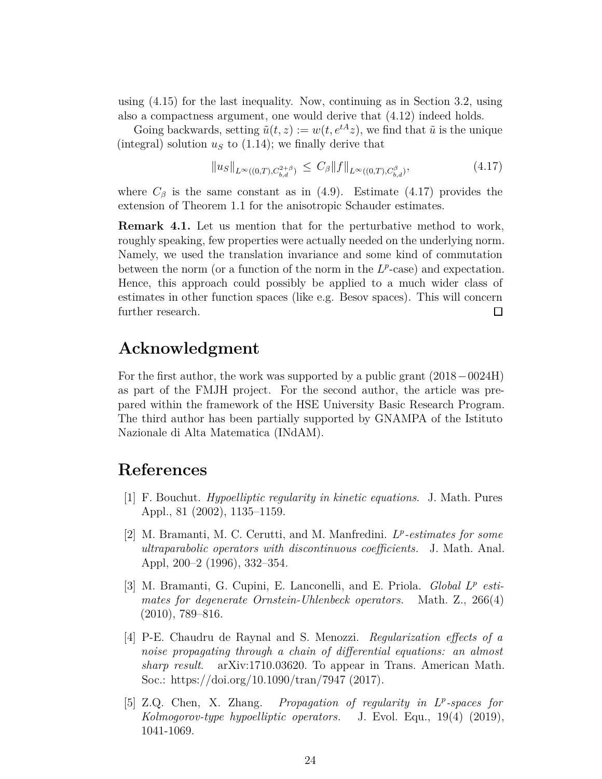using [\(4.15\)](#page-22-0) for the last inequality. Now, continuing as in Section 3.2, using also a compactness argument, one would derive that [\(4.12\)](#page-22-1) indeed holds.

Going backwards, setting  $\tilde{u}(t, z) := w(t, e^{tA}z)$ , we find that  $\tilde{u}$  is the unique (integral) solution  $u<sub>S</sub>$  to [\(1.14\)](#page-4-1); we finally derive that

<span id="page-23-4"></span>
$$
||u_S||_{L^{\infty}((0,T), C^{2+\beta}_{b,d})} \leq C_{\beta} ||f||_{L^{\infty}((0,T), C^{\beta}_{b,d})}, \tag{4.17}
$$

where  $C_\beta$  is the same constant as in [\(4.9\)](#page-21-2). Estimate [\(4.17\)](#page-23-4) provides the extension of Theorem [1.1](#page-4-5) for the anisotropic Schauder estimates.

**Remark 4.1.** Let us mention that for the perturbative method to work, roughly speaking, few properties were actually needed on the underlying norm. Namely, we used the translation invariance and some kind of commutation between the norm (or a function of the norm in the  $L^p$ -case) and expectation. Hence, this approach could possibly be applied to a much wider class of estimates in other function spaces (like e.g. Besov spaces). This will concern further research.  $\Box$ 

## **Acknowledgment**

For the first author, the work was supported by a public grant (2018−0024H) as part of the FMJH project. For the second author, the article was prepared within the framework of the HSE University Basic Research Program. The third author has been partially supported by GNAMPA of the Istituto Nazionale di Alta Matematica (INdAM).

## <span id="page-23-2"></span>**References**

- [1] F. Bouchut. *Hypoelliptic regularity in kinetic equations*. J. Math. Pures Appl., 81 (2002), 1135–1159.
- <span id="page-23-0"></span>[2] M. Bramanti, M. C. Cerutti, and M. Manfredini. *L p -estimates for some ultraparabolic operators with discontinuous coefficients.* J. Math. Anal. Appl, 200–2 (1996), 332–354.
- <span id="page-23-1"></span>[3] M. Bramanti, G. Cupini, E. Lanconelli, and E. Priola. *Global L p estimates for degenerate Ornstein-Uhlenbeck operators.* Math. Z., 266(4) (2010), 789–816.
- [4] P-E. Chaudru de Raynal and S. Menozzi. *Regularization effects of a noise propagating through a chain of differential equations: an almost sharp result*. [arXiv:1710.03620.](http://arxiv.org/abs/1710.03620) To appear in Trans. American Math. Soc.: https://doi.org/10.1090/tran/7947 (2017).
- <span id="page-23-3"></span>[5] Z.Q. Chen, X. Zhang. *Propagation of regularity in L p -spaces for Kolmogorov-type hypoelliptic operators.* J. Evol. Equ., 19(4) (2019), 1041-1069.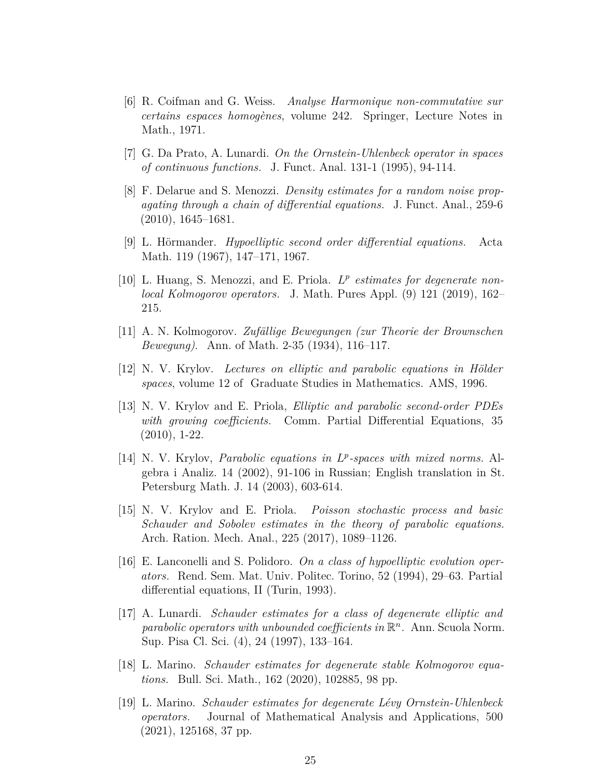- <span id="page-24-12"></span>[6] R. Coifman and G. Weiss. *Analyse Harmonique non-commutative sur certains espaces homogènes*, volume 242. Springer, Lecture Notes in Math., 1971.
- <span id="page-24-11"></span><span id="page-24-8"></span>[7] G. Da Prato, A. Lunardi. *On the Ornstein-Uhlenbeck operator in spaces of continuous functions.* J. Funct. Anal. 131-1 (1995), 94-114.
- [8] F. Delarue and S. Menozzi. *Density estimates for a random noise propagating through a chain of differential equations.* J. Funct. Anal., 259-6 (2010), 1645–1681.
- <span id="page-24-2"></span>[9] L. Hörmander. *Hypoelliptic second order differential equations.* Acta Math. 119 (1967), 147–171, 1967.
- <span id="page-24-4"></span>[10] L. Huang, S. Menozzi, and E. Priola. *L p estimates for degenerate nonlocal Kolmogorov operators.* J. Math. Pures Appl. (9) 121 (2019), 162– 215.
- <span id="page-24-13"></span><span id="page-24-1"></span>[11] A. N. Kolmogorov. *Zufällige Bewegungen (zur Theorie der Brownschen Bewegung)*. Ann. of Math. 2-35 (1934), 116–117.
- <span id="page-24-9"></span>[12] N. V. Krylov. *Lectures on elliptic and parabolic equations in Hölder spaces*, volume 12 of Graduate Studies in Mathematics. AMS, 1996.
- [13] N. V. Krylov and E. Priola, *Elliptic and parabolic second-order PDEs with growing coefficients.* Comm. Partial Differential Equations, 35 (2010), 1-22.
- <span id="page-24-3"></span>[14] N. V. Krylov, *Parabolic equations in L p -spaces with mixed norms.* Algebra i Analiz. 14 (2002), 91-106 in Russian; English translation in St. Petersburg Math. J. 14 (2003), 603-614.
- <span id="page-24-0"></span>[15] N. V. Krylov and E. Priola. *Poisson stochastic process and basic Schauder and Sobolev estimates in the theory of parabolic equations.* Arch. Ration. Mech. Anal., 225 (2017), 1089–1126.
- <span id="page-24-10"></span>[16] E. Lanconelli and S. Polidoro. *On a class of hypoelliptic evolution operators.* Rend. Sem. Mat. Univ. Politec. Torino, 52 (1994), 29–63. Partial differential equations, II (Turin, 1993).
- <span id="page-24-5"></span>[17] A. Lunardi. *Schauder estimates for a class of degenerate elliptic and parabolic operators with unbounded coefficients in*  $\mathbb{R}^n$ . Ann. Scuola Norm. Sup. Pisa Cl. Sci. (4), 24 (1997), 133–164.
- <span id="page-24-6"></span>[18] L. Marino. *Schauder estimates for degenerate stable Kolmogorov equations.* Bull. Sci. Math., 162 (2020), 102885, 98 pp.
- <span id="page-24-7"></span>[19] L. Marino. *Schauder estimates for degenerate Lévy Ornstein-Uhlenbeck operators.* Journal of Mathematical Analysis and Applications, 500 (2021), 125168, 37 pp.